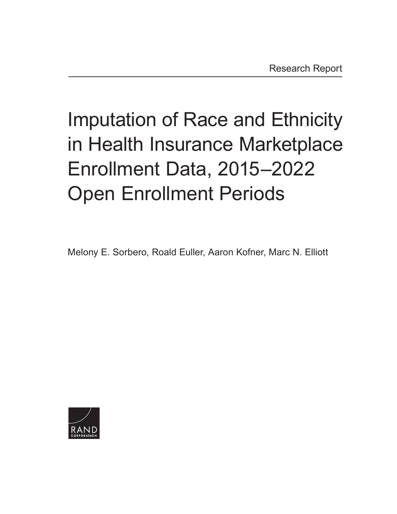# Imputation of Race and Ethnicity in Health Insurance Marketplace Enrollment Data, 2015–2022 Open Enrollment Periods

Melony E. Sorbero, Roald Euller, Aaron Kofner, Marc N. Elliott

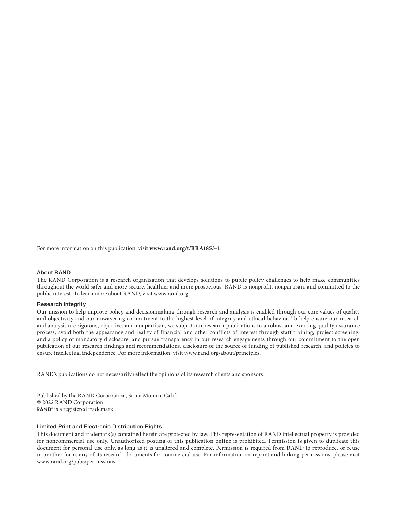For more information on this publication, visit **[www.rand.org/t/RRA1853-1](http://www.rand.org/t/RRA1853-1)**.

#### About RAND

The RAND Corporation is a research organization that develops solutions to public policy challenges to help make communities throughout the world safer and more secure, healthier and more prosperous. RAND is nonprofit, nonpartisan, and committed to the public interest. To learn more about RAND, visit [www.rand.org](http://www.rand.org).

#### Research Integrity

Our mission to help improve policy and decisionmaking through research and analysis is enabled through our core values of quality and objectivity and our unwavering commitment to the highest level of integrity and ethical behavior. To help ensure our research and analysis are rigorous, objective, and nonpartisan, we subject our research publications to a robust and exacting quality-assurance process; avoid both the appearance and reality of financial and other conflicts of interest through staff training, project screening, and a policy of mandatory disclosure; and pursue transparency in our research engagements through our commitment to the open publication of our research findings and recommendations, disclosure of the source of funding of published research, and policies to ensure intellectual independence. For more information, visit [www.rand.org/about/principles.](http://www.rand.org/about/principles)

RAND's publications do not necessarily reflect the opinions of its research clients and sponsors.

Published by the RAND Corporation, Santa Monica, Calif. © 2022 RAND Corporation RAND<sup>®</sup> is a registered trademark.

#### Limited Print and Electronic Distribution Rights

This document and trademark(s) contained herein are protected by law. This representation of RAND intellectual property is provided for noncommercial use only. Unauthorized posting of this publication online is prohibited. Permission is given to duplicate this document for personal use only, as long as it is unaltered and complete. Permission is required from RAND to reproduce, or reuse in another form, any of its research documents for commercial use. For information on reprint and linking permissions, please visit [www.rand.org/pubs/permissions.](http://www.rand.org/pubs/permissions)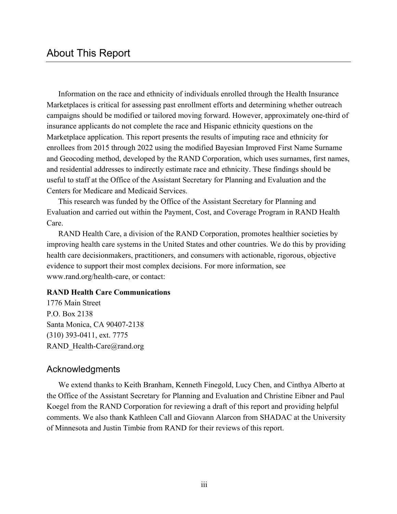Information on the race and ethnicity of individuals enrolled through the Health Insurance Marketplaces is critical for assessing past enrollment efforts and determining whether outreach campaigns should be modified or tailored moving forward. However, approximately one-third of insurance applicants do not complete the race and Hispanic ethnicity questions on the Marketplace application. This report presents the results of imputing race and ethnicity for enrollees from 2015 through 2022 using the modified Bayesian Improved First Name Surname and Geocoding method, developed by the RAND Corporation, which uses surnames, first names, and residential addresses to indirectly estimate race and ethnicity. These findings should be useful to staff at the Office of the Assistant Secretary for Planning and Evaluation and the Centers for Medicare and Medicaid Services.

This research was funded by the Office of the Assistant Secretary for Planning and Evaluation and carried out within the Payment, Cost, and Coverage Program in RAND Health Care.

RAND Health Care, a division of the RAND Corporation, promotes healthier societies by improving health care systems in the United States and other countries. We do this by providing health care decisionmakers, practitioners, and consumers with actionable, rigorous, objective evidence to support their most complex decisions. For more information, see [www.rand.org/health-care,](http://www.rand.org/health-care) or contact:

### **RAND Health Care Communications**

1776 Main Street P.O. Box 2138 Santa Monica, CA 90407-2138 (310) 393-0411, ext. 7775 RAND\_Health-Care@rand.org

### Acknowledgments

We extend thanks to Keith Branham, Kenneth Finegold, Lucy Chen, and Cinthya Alberto at the Office of the Assistant Secretary for Planning and Evaluation and Christine Eibner and Paul Koegel from the RAND Corporation for reviewing a draft of this report and providing helpful comments. We also thank Kathleen Call and Giovann Alarcon from SHADAC at the University of Minnesota and Justin Timbie from RAND for their reviews of this report.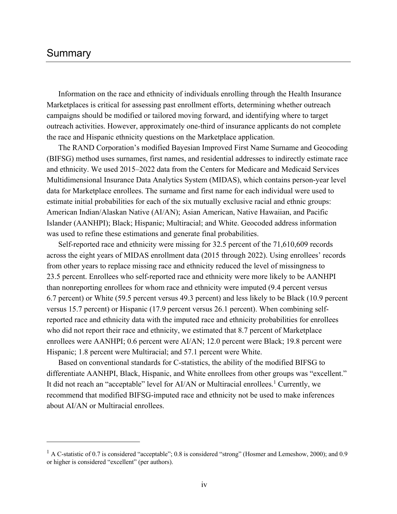# Summary

Information on the race and ethnicity of individuals enrolling through the Health Insurance Marketplaces is critical for assessing past enrollment efforts, determining whether outreach campaigns should be modified or tailored moving forward, and identifying where to target outreach activities. However, approximately one-third of insurance applicants do not complete the race and Hispanic ethnicity questions on the Marketplace application.

The RAND Corporation's modified Bayesian Improved First Name Surname and Geocoding (BIFSG) method uses surnames, first names, and residential addresses to indirectly estimate race and ethnicity. We used 2015–2022 data from the Centers for Medicare and Medicaid Services Multidimensional Insurance Data Analytics System (MIDAS), which contains person-year level data for Marketplace enrollees. The surname and first name for each individual were used to estimate initial probabilities for each of the six mutually exclusive racial and ethnic groups: American Indian/Alaskan Native (AI/AN); Asian American, Native Hawaiian, and Pacific Islander (AANHPI); Black; Hispanic; Multiracial; and White. Geocoded address information was used to refine these estimations and generate final probabilities.

Self-reported race and ethnicity were missing for 32.5 percent of the 71,610,609 records across the eight years of MIDAS enrollment data (2015 through 2022). Using enrollees' records from other years to replace missing race and ethnicity reduced the level of missingness to 23.5 percent. Enrollees who self-reported race and ethnicity were more likely to be AANHPI than nonreporting enrollees for whom race and ethnicity were imputed (9.4 percent versus 6.7 percent) or White (59.5 percent versus 49.3 percent) and less likely to be Black (10.9 percent versus 15.7 percent) or Hispanic (17.9 percent versus 26.1 percent). When combining selfreported race and ethnicity data with the imputed race and ethnicity probabilities for enrollees who did not report their race and ethnicity, we estimated that 8.7 percent of Marketplace enrollees were AANHPI; 0.6 percent were AI/AN; 12.0 percent were Black; 19.8 percent were Hispanic; 1.8 percent were Multiracial; and 57.1 percent were White.

Based on conventional standards for C-statistics, the ability of the modified BIFSG to differentiate AANHPI, Black, Hispanic, and White enrollees from other groups was "excellent." It did not reach an "acceptable" level for AI/AN or Multiracial enrollees.<sup>1</sup> Currently, we recommend that modified BIFSG-imputed race and ethnicity not be used to make inferences about AI/AN or Multiracial enrollees.

<sup>&</sup>lt;sup>1</sup> A C-statistic of 0.7 is considered "acceptable"; 0.8 is considered "strong" (Hosmer and Lemeshow, 2000); and 0.9 or higher is considered "excellent" (per authors).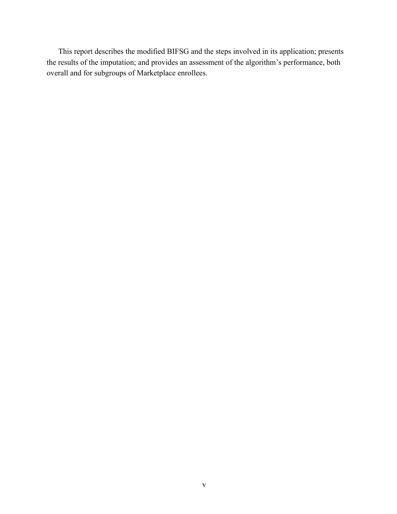This report describes the modified BIFSG and the steps involved in its application; presents the results of the imputation; and provides an assessment of the algorithm's performance, both overall and for subgroups of Marketplace enrollees.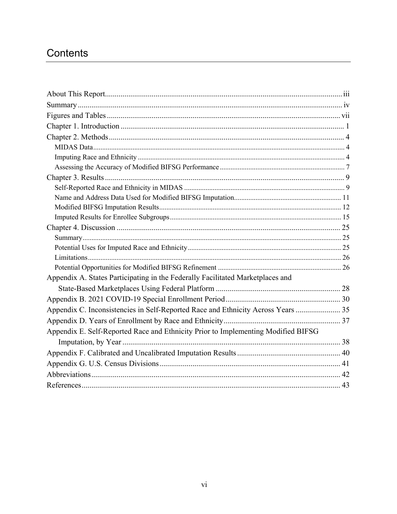# Contents

| Appendix A. States Participating in the Federally Facilitated Marketplaces and    |
|-----------------------------------------------------------------------------------|
|                                                                                   |
|                                                                                   |
| Appendix C. Inconsistencies in Self-Reported Race and Ethnicity Across Years  35  |
|                                                                                   |
| Appendix E. Self-Reported Race and Ethnicity Prior to Implementing Modified BIFSG |
|                                                                                   |
|                                                                                   |
|                                                                                   |
|                                                                                   |
|                                                                                   |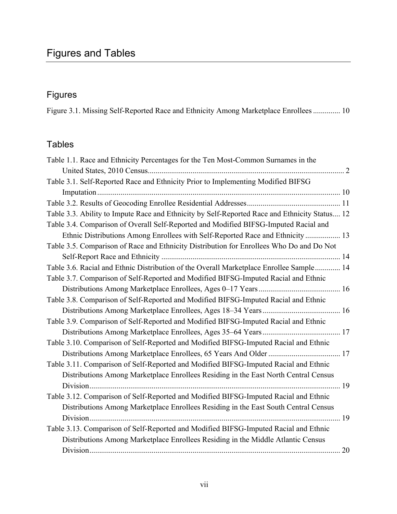# Figures

Figure 3.1. Missing Self-Reported Race and Ethnicity Among Marketplace Enrollees .............. 10

# Tables

| Table 1.1. Race and Ethnicity Percentages for the Ten Most-Common Surnames in the             |
|-----------------------------------------------------------------------------------------------|
|                                                                                               |
| Table 3.1. Self-Reported Race and Ethnicity Prior to Implementing Modified BIFSG              |
|                                                                                               |
|                                                                                               |
| Table 3.3. Ability to Impute Race and Ethnicity by Self-Reported Race and Ethnicity Status 12 |
| Table 3.4. Comparison of Overall Self-Reported and Modified BIFSG-Imputed Racial and          |
| Ethnic Distributions Among Enrollees with Self-Reported Race and Ethnicity  13                |
| Table 3.5. Comparison of Race and Ethnicity Distribution for Enrollees Who Do and Do Not      |
|                                                                                               |
| Table 3.6. Racial and Ethnic Distribution of the Overall Marketplace Enrollee Sample 14       |
| Table 3.7. Comparison of Self-Reported and Modified BIFSG-Imputed Racial and Ethnic           |
|                                                                                               |
| Table 3.8. Comparison of Self-Reported and Modified BIFSG-Imputed Racial and Ethnic           |
|                                                                                               |
| Table 3.9. Comparison of Self-Reported and Modified BIFSG-Imputed Racial and Ethnic           |
|                                                                                               |
| Table 3.10. Comparison of Self-Reported and Modified BIFSG-Imputed Racial and Ethnic          |
|                                                                                               |
| Table 3.11. Comparison of Self-Reported and Modified BIFSG-Imputed Racial and Ethnic          |
| Distributions Among Marketplace Enrollees Residing in the East North Central Census           |
|                                                                                               |
| Table 3.12. Comparison of Self-Reported and Modified BIFSG-Imputed Racial and Ethnic          |
| Distributions Among Marketplace Enrollees Residing in the East South Central Census           |
|                                                                                               |
| Table 3.13. Comparison of Self-Reported and Modified BIFSG-Imputed Racial and Ethnic          |
| Distributions Among Marketplace Enrollees Residing in the Middle Atlantic Census              |
|                                                                                               |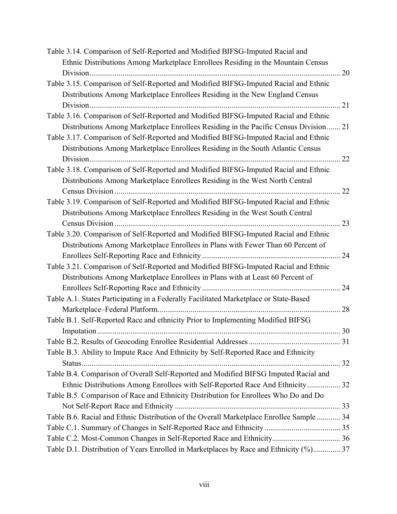| Table 3.14. Comparison of Self-Reported and Modified BIFSG-Imputed Racial and            |    |
|------------------------------------------------------------------------------------------|----|
| Ethnic Distributions Among Marketplace Enrollees Residing in the Mountain Census         |    |
|                                                                                          | 20 |
| Table 3.15. Comparison of Self-Reported and Modified BIFSG-Imputed Racial and Ethnic     |    |
| Distributions Among Marketplace Enrollees Residing in the New England Census             |    |
|                                                                                          |    |
| Table 3.16. Comparison of Self-Reported and Modified BIFSG-Imputed Racial and Ethnic     |    |
| Distributions Among Marketplace Enrollees Residing in the Pacific Census Division 21     |    |
| Table 3.17. Comparison of Self-Reported and Modified BIFSG-Imputed Racial and Ethnic     |    |
| Distributions Among Marketplace Enrollees Residing in the South Atlantic Census          |    |
| Division                                                                                 | 22 |
| Table 3.18. Comparison of Self-Reported and Modified BIFSG-Imputed Racial and Ethnic     |    |
| Distributions Among Marketplace Enrollees Residing in the West North Central             |    |
|                                                                                          | 22 |
| Table 3.19. Comparison of Self-Reported and Modified BIFSG-Imputed Racial and Ethnic     |    |
| Distributions Among Marketplace Enrollees Residing in the West South Central             |    |
|                                                                                          | 23 |
| Table 3.20. Comparison of Self-Reported and Modified BIFSG-Imputed Racial and Ethnic     |    |
| Distributions Among Marketplace Enrollees in Plans with Fewer Than 60 Percent of         |    |
|                                                                                          | 24 |
| Table 3.21. Comparison of Self-Reported and Modified BIFSG-Imputed Racial and Ethnic     |    |
| Distributions Among Marketplace Enrollees in Plans with at Least 60 Percent of           |    |
|                                                                                          |    |
| Table A.1. States Participating in a Federally Facilitated Marketplace or State-Based    |    |
|                                                                                          | 28 |
| Table B.1. Self-Reported Race and ethnicity Prior to Implementing Modified BIFSG         |    |
|                                                                                          |    |
|                                                                                          |    |
| Table B.3. Ability to Impute Race And Ethnicity by Self-Reported Race and Ethnicity      |    |
|                                                                                          |    |
| Table B.4. Comparison of Overall Self-Reported and Modified BIFSG Imputed Racial and     |    |
| Ethnic Distributions Among Enrollees with Self-Reported Race And Ethnicity 32            |    |
| Table B.5. Comparison of Race and Ethnicity Distribution for Enrollees Who Do and Do     |    |
|                                                                                          |    |
| Table B.6. Racial and Ethnic Distribution of the Overall Marketplace Enrollee Sample  34 |    |
|                                                                                          |    |
| Table C.2. Most-Common Changes in Self-Reported Race and Ethnicity 36                    |    |
| Table D.1. Distribution of Years Enrolled in Marketplaces by Race and Ethnicity (%) 37   |    |
|                                                                                          |    |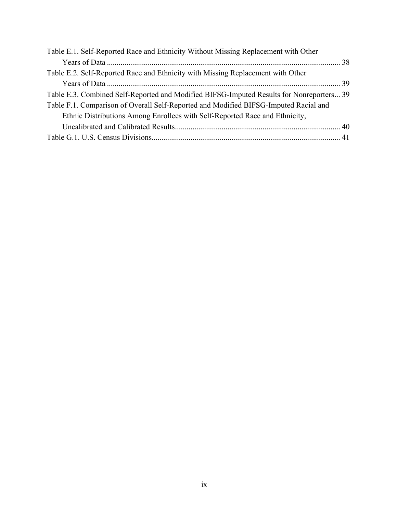| Table E.1. Self-Reported Race and Ethnicity Without Missing Replacement with Other       |  |
|------------------------------------------------------------------------------------------|--|
|                                                                                          |  |
| Table E.2. Self-Reported Race and Ethnicity with Missing Replacement with Other          |  |
|                                                                                          |  |
| Table E.3. Combined Self-Reported and Modified BIFSG-Imputed Results for Nonreporters 39 |  |
| Table F.1. Comparison of Overall Self-Reported and Modified BIFSG-Imputed Racial and     |  |
| Ethnic Distributions Among Enrollees with Self-Reported Race and Ethnicity,              |  |
|                                                                                          |  |
|                                                                                          |  |
|                                                                                          |  |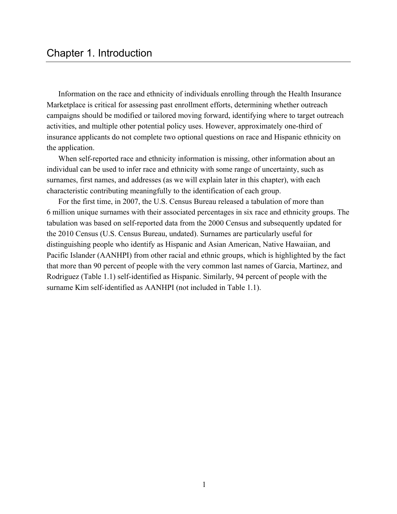Information on the race and ethnicity of individuals enrolling through the Health Insurance Marketplace is critical for assessing past enrollment efforts, determining whether outreach campaigns should be modified or tailored moving forward, identifying where to target outreach activities, and multiple other potential policy uses. However, approximately one-third of insurance applicants do not complete two optional questions on race and Hispanic ethnicity on the application.

When self-reported race and ethnicity information is missing, other information about an individual can be used to infer race and ethnicity with some range of uncertainty, such as surnames, first names, and addresses (as we will explain later in this chapter), with each characteristic contributing meaningfully to the identification of each group.

For the first time, in 2007, the U.S. Census Bureau released a tabulation of more than 6 million unique surnames with their associated percentages in six race and ethnicity groups. The tabulation was based on self-reported data from the 2000 Census and subsequently updated for the 2010 Census (U.S. Census Bureau, undated). Surnames are particularly useful for distinguishing people who identify as Hispanic and Asian American, Native Hawaiian, and Pacific Islander (AANHPI) from other racial and ethnic groups, which is highlighted by the fact that more than 90 percent of people with the very common last names of Garcia, Martinez, and Rodriguez (Table 1.1) self-identified as Hispanic. Similarly, 94 percent of people with the surname Kim self-identified as AANHPI (not included in Table 1.1).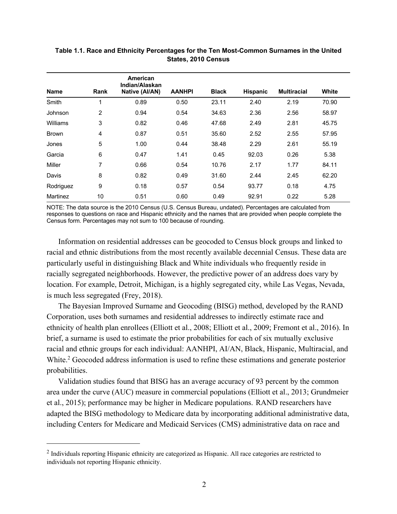| <b>Name</b> | Rank | American<br>Indian/Alaskan<br>Native (Al/AN) | <b>AANHPI</b> | <b>Black</b> | <b>Hispanic</b> | <b>Multiracial</b> | White |
|-------------|------|----------------------------------------------|---------------|--------------|-----------------|--------------------|-------|
| Smith       | 1    | 0.89                                         | 0.50          | 23.11        | 2.40            | 2.19               | 70.90 |
| Johnson     | 2    | 0.94                                         | 0.54          | 34.63        | 2.36            | 2.56               | 58.97 |
| Williams    | 3    | 0.82                                         | 0.46          | 47.68        | 2.49            | 2.81               | 45.75 |
| Brown       | 4    | 0.87                                         | 0.51          | 35.60        | 2.52            | 2.55               | 57.95 |
| Jones       | 5    | 1.00                                         | 0.44          | 38.48        | 2.29            | 2.61               | 55.19 |
| Garcia      | 6    | 0.47                                         | 1.41          | 0.45         | 92.03           | 0.26               | 5.38  |
| Miller      | 7    | 0.66                                         | 0.54          | 10.76        | 2.17            | 1.77               | 84.11 |
| Davis       | 8    | 0.82                                         | 0.49          | 31.60        | 2.44            | 2.45               | 62.20 |
| Rodriguez   | 9    | 0.18                                         | 0.57          | 0.54         | 93.77           | 0.18               | 4.75  |
| Martinez    | 10   | 0.51                                         | 0.60          | 0.49         | 92.91           | 0.22               | 5.28  |

# **Table 1.1. Race and Ethnicity Percentages for the Ten Most-Common Surnames in the United States, 2010 Census**

NOTE: The data source is the 2010 Census (U.S. Census Bureau, undated). Percentages are calculated from responses to questions on race and Hispanic ethnicity and the names that are provided when people complete the Census form. Percentages may not sum to 100 because of rounding.

Information on residential addresses can be geocoded to Census block groups and linked to racial and ethnic distributions from the most recently available decennial Census. These data are particularly useful in distinguishing Black and White individuals who frequently reside in racially segregated neighborhoods. However, the predictive power of an address does vary by location. For example, Detroit, Michigan, is a highly segregated city, while Las Vegas, Nevada, is much less segregated (Frey, 2018).

The Bayesian Improved Surname and Geocoding (BISG) method, developed by the RAND Corporation, uses both surnames and residential addresses to indirectly estimate race and ethnicity of health plan enrollees (Elliott et al., 2008; Elliott et al., 2009; Fremont et al., 2016). In brief, a surname is used to estimate the prior probabilities for each of six mutually exclusive racial and ethnic groups for each individual: AANHPI, AI/AN, Black, Hispanic, Multiracial, and White.<sup>2</sup> Geocoded address information is used to refine these estimations and generate posterior probabilities.

Validation studies found that BISG has an average accuracy of 93 percent by the common area under the curve (AUC) measure in commercial populations (Elliott et al., 2013; Grundmeier et al., 2015); performance may be higher in Medicare populations. RAND researchers have adapted the BISG methodology to Medicare data by incorporating additional administrative data, including Centers for Medicare and Medicaid Services (CMS) administrative data on race and

<sup>&</sup>lt;sup>2</sup> Individuals reporting Hispanic ethnicity are categorized as Hispanic. All race categories are restricted to individuals not reporting Hispanic ethnicity.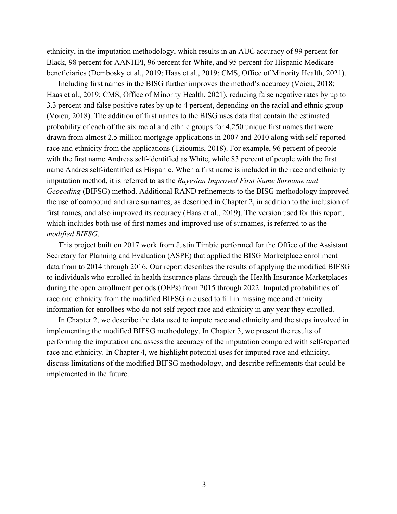ethnicity, in the imputation methodology, which results in an AUC accuracy of 99 percent for Black, 98 percent for AANHPI, 96 percent for White, and 95 percent for Hispanic Medicare beneficiaries (Dembosky et al., 2019; Haas et al., 2019; CMS, Office of Minority Health, 2021).

Including first names in the BISG further improves the method's accuracy (Voicu, 2018; Haas et al., 2019; CMS, Office of Minority Health, 2021), reducing false negative rates by up to 3.3 percent and false positive rates by up to 4 percent, depending on the racial and ethnic group (Voicu, 2018). The addition of first names to the BISG uses data that contain the estimated probability of each of the six racial and ethnic groups for 4,250 unique first names that were drawn from almost 2.5 million mortgage applications in 2007 and 2010 along with self-reported race and ethnicity from the applications (Tzioumis, 2018). For example, 96 percent of people with the first name Andreas self-identified as White, while 83 percent of people with the first name Andres self-identified as Hispanic. When a first name is included in the race and ethnicity imputation method, it is referred to as the *Bayesian Improved First Name Surname and Geocoding* (BIFSG) method. Additional RAND refinements to the BISG methodology improved the use of compound and rare surnames, as described in Chapter 2, in addition to the inclusion of first names, and also improved its accuracy (Haas et al., 2019). The version used for this report, which includes both use of first names and improved use of surnames, is referred to as the *modified BIFSG*.

This project built on 2017 work from Justin Timbie performed for the Office of the Assistant Secretary for Planning and Evaluation (ASPE) that applied the BISG Marketplace enrollment data from to 2014 through 2016. Our report describes the results of applying the modified BIFSG to individuals who enrolled in health insurance plans through the Health Insurance Marketplaces during the open enrollment periods (OEPs) from 2015 through 2022. Imputed probabilities of race and ethnicity from the modified BIFSG are used to fill in missing race and ethnicity information for enrollees who do not self-report race and ethnicity in any year they enrolled.

In Chapter 2, we describe the data used to impute race and ethnicity and the steps involved in implementing the modified BIFSG methodology. In Chapter 3, we present the results of performing the imputation and assess the accuracy of the imputation compared with self-reported race and ethnicity. In Chapter 4, we highlight potential uses for imputed race and ethnicity, discuss limitations of the modified BIFSG methodology, and describe refinements that could be implemented in the future.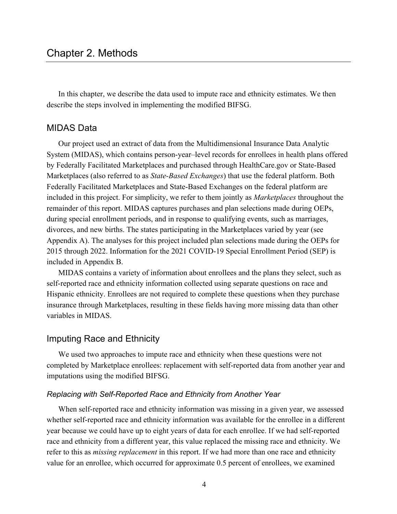In this chapter, we describe the data used to impute race and ethnicity estimates. We then describe the steps involved in implementing the modified BIFSG.

# MIDAS Data

Our project used an extract of data from the Multidimensional Insurance Data Analytic System (MIDAS), which contains person-year–level records for enrollees in health plans offered by Federally Facilitated Marketplaces and purchased through [HealthCare.gov](http://HealthCare.gov) or State-Based Marketplaces (also referred to as *State-Based Exchanges*) that use the federal platform. Both Federally Facilitated Marketplaces and State-Based Exchanges on the federal platform are included in this project. For simplicity, we refer to them jointly as *Marketplaces* throughout the remainder of this report. MIDAS captures purchases and plan selections made during OEPs, during special enrollment periods, and in response to qualifying events, such as marriages, divorces, and new births. The states participating in the Marketplaces varied by year (see Appendix A). The analyses for this project included plan selections made during the OEPs for 2015 through 2022. Information for the 2021 COVID-19 Special Enrollment Period (SEP) is included in Appendix B.

MIDAS contains a variety of information about enrollees and the plans they select, such as self-reported race and ethnicity information collected using separate questions on race and Hispanic ethnicity. Enrollees are not required to complete these questions when they purchase insurance through Marketplaces, resulting in these fields having more missing data than other variables in MIDAS.

### Imputing Race and Ethnicity

We used two approaches to impute race and ethnicity when these questions were not completed by Marketplace enrollees: replacement with self-reported data from another year and imputations using the modified BIFSG.

#### *Replacing with Self-Reported Race and Ethnicity from Another Year*

When self-reported race and ethnicity information was missing in a given year, we assessed whether self-reported race and ethnicity information was available for the enrollee in a different year because we could have up to eight years of data for each enrollee. If we had self-reported race and ethnicity from a different year, this value replaced the missing race and ethnicity. We refer to this as *missing replacement* in this report. If we had more than one race and ethnicity value for an enrollee, which occurred for approximate 0.5 percent of enrollees, we examined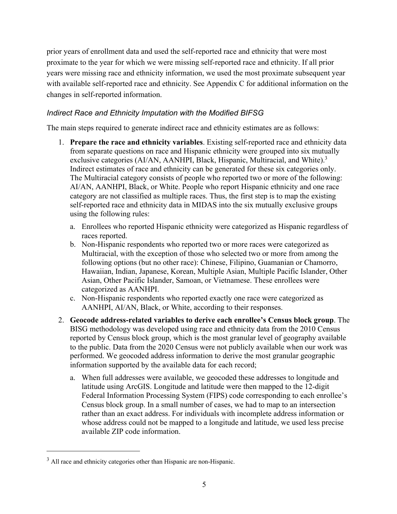prior years of enrollment data and used the self-reported race and ethnicity that were most proximate to the year for which we were missing self-reported race and ethnicity. If all prior years were missing race and ethnicity information, we used the most proximate subsequent year with available self-reported race and ethnicity. See Appendix C for additional information on the changes in self-reported information.

# *Indirect Race and Ethnicity Imputation with the Modified BIFSG*

The main steps required to generate indirect race and ethnicity estimates are as follows:

- 1. **Prepare the race and ethnicity variables**. Existing self-reported race and ethnicity data from separate questions on race and Hispanic ethnicity were grouped into six mutually exclusive categories (AI/AN, AANHPI, Black, Hispanic, Multiracial, and White).<sup>3</sup> Indirect estimates of race and ethnicity can be generated for these six categories only. The Multiracial category consists of people who reported two or more of the following: AI/AN, AANHPI, Black, or White. People who report Hispanic ethnicity and one race category are not classified as multiple races. Thus, the first step is to map the existing self-reported race and ethnicity data in MIDAS into the six mutually exclusive groups using the following rules:
	- a. Enrollees who reported Hispanic ethnicity were categorized as Hispanic regardless of races reported.
	- b. Non-Hispanic respondents who reported two or more races were categorized as Multiracial, with the exception of those who selected two or more from among the following options (but no other race): Chinese, Filipino, Guamanian or Chamorro, Hawaiian, Indian, Japanese, Korean, Multiple Asian, Multiple Pacific Islander, Other Asian, Other Pacific Islander, Samoan, or Vietnamese. These enrollees were categorized as AANHPI.
	- c. Non-Hispanic respondents who reported exactly one race were categorized as AANHPI, AI/AN, Black, or White, according to their responses.
- 2. **Geocode address-related variables to derive each enrollee's Census block group**. The BISG methodology was developed using race and ethnicity data from the 2010 Census reported by Census block group, which is the most granular level of geography available to the public. Data from the 2020 Census were not publicly available when our work was performed. We geocoded address information to derive the most granular geographic information supported by the available data for each record;
	- a. When full addresses were available, we geocoded these addresses to longitude and latitude using ArcGIS. Longitude and latitude were then mapped to the 12-digit Federal Information Processing System (FIPS) code corresponding to each enrollee's Census block group. In a small number of cases, we had to map to an intersection rather than an exact address. For individuals with incomplete address information or whose address could not be mapped to a longitude and latitude, we used less precise available ZIP code information.

<sup>&</sup>lt;sup>3</sup> All race and ethnicity categories other than Hispanic are non-Hispanic.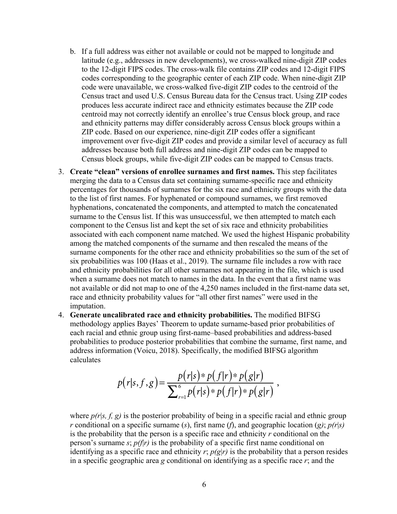- b. If a full address was either not available or could not be mapped to longitude and latitude (e.g., addresses in new developments), we cross-walked nine-digit ZIP codes to the 12-digit FIPS codes. The cross-walk file contains ZIP codes and 12-digit FIPS codes corresponding to the geographic center of each ZIP code. When nine-digit ZIP code were unavailable, we cross-walked five-digit ZIP codes to the centroid of the Census tract and used U.S. Census Bureau data for the Census tract. Using ZIP codes produces less accurate indirect race and ethnicity estimates because the ZIP code centroid may not correctly identify an enrollee's true Census block group, and race and ethnicity patterns may differ considerably across Census block groups within a ZIP code. Based on our experience, nine-digit ZIP codes offer a significant improvement over five-digit ZIP codes and provide a similar level of accuracy as full addresses because both full address and nine-digit ZIP codes can be mapped to Census block groups, while five-digit ZIP codes can be mapped to Census tracts.
- 3. **Create "clean" versions of enrollee surnames and first names.** This step facilitates merging the data to a Census data set containing surname-specific race and ethnicity percentages for thousands of surnames for the six race and ethnicity groups with the data to the list of first names. For hyphenated or compound surnames, we first removed hyphenations, concatenated the components, and attempted to match the concatenated surname to the Census list. If this was unsuccessful, we then attempted to match each component to the Census list and kept the set of six race and ethnicity probabilities associated with each component name matched. We used the highest Hispanic probability among the matched components of the surname and then rescaled the means of the surname components for the other race and ethnicity probabilities so the sum of the set of six probabilities was 100 (Haas et al., 2019). The surname file includes a row with race and ethnicity probabilities for all other surnames not appearing in the file, which is used when a surname does not match to names in the data. In the event that a first name was not available or did not map to one of the 4,250 names included in the first-name data set, race and ethnicity probability values for "all other first names" were used in the imputation.
- 4. **Generate uncalibrated race and ethnicity probabilities.** The modified BIFSG methodology applies Bayes' Theorem to update surname-based prior probabilities of each racial and ethnic group using first-name–based probabilities and address-based probabilities to produce posterior probabilities that combine the surname, first name, and address information (Voicu, 2018). Specifically, the modified BIFSG algorithm calculates

$$
p(r|s, f, g) = \frac{p(r|s) * p(f|r) * p(g|r)}{\sum_{r=1}^{6} p(r|s) * p(f|r) * p(g|r)},
$$

where  $p(r|s, f, g)$  is the posterior probability of being in a specific racial and ethnic group *r* conditional on a specific surname (*s*), first name (*f*), and geographic location (*g)*; *p(r*|*s)* is the probability that the person is a specific race and ethnicity *r* conditional on the person's surname *s*; *p(f*|*r)* is the probability of a specific first name conditional on identifying as a specific race and ethnicity  $r$ ;  $p(g|r)$  is the probability that a person resides in a specific geographic area *g* conditional on identifying as a specific race *r*; and the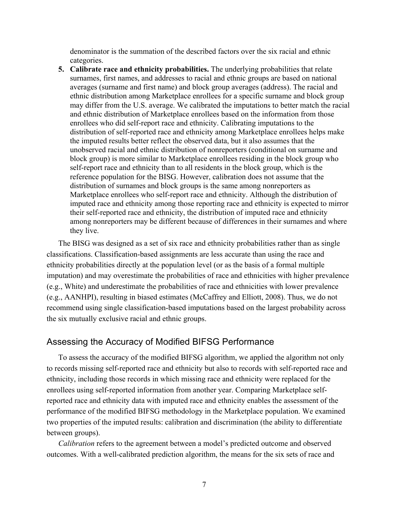denominator is the summation of the described factors over the six racial and ethnic categories.

**5. Calibrate race and ethnicity probabilities.** The underlying probabilities that relate surnames, first names, and addresses to racial and ethnic groups are based on national averages (surname and first name) and block group averages (address). The racial and ethnic distribution among Marketplace enrollees for a specific surname and block group may differ from the U.S. average. We calibrated the imputations to better match the racial and ethnic distribution of Marketplace enrollees based on the information from those enrollees who did self-report race and ethnicity. Calibrating imputations to the distribution of self-reported race and ethnicity among Marketplace enrollees helps make the imputed results better reflect the observed data, but it also assumes that the unobserved racial and ethnic distribution of nonreporters (conditional on surname and block group) is more similar to Marketplace enrollees residing in the block group who self-report race and ethnicity than to all residents in the block group, which is the reference population for the BISG. However, calibration does not assume that the distribution of surnames and block groups is the same among nonreporters as Marketplace enrollees who self-report race and ethnicity. Although the distribution of imputed race and ethnicity among those reporting race and ethnicity is expected to mirror their self-reported race and ethnicity, the distribution of imputed race and ethnicity among nonreporters may be different because of differences in their surnames and where they live.

The BISG was designed as a set of six race and ethnicity probabilities rather than as single classifications. Classification-based assignments are less accurate than using the race and ethnicity probabilities directly at the population level (or as the basis of a formal multiple imputation) and may overestimate the probabilities of race and ethnicities with higher prevalence (e.g., White) and underestimate the probabilities of race and ethnicities with lower prevalence (e.g., AANHPI), resulting in biased estimates (McCaffrey and Elliott, 2008). Thus, we do not recommend using single classification-based imputations based on the largest probability across the six mutually exclusive racial and ethnic groups.

### Assessing the Accuracy of Modified BIFSG Performance

To assess the accuracy of the modified BIFSG algorithm, we applied the algorithm not only to records missing self-reported race and ethnicity but also to records with self-reported race and ethnicity, including those records in which missing race and ethnicity were replaced for the enrollees using self-reported information from another year. Comparing Marketplace selfreported race and ethnicity data with imputed race and ethnicity enables the assessment of the performance of the modified BIFSG methodology in the Marketplace population. We examined two properties of the imputed results: calibration and discrimination (the ability to differentiate between groups).

*Calibration* refers to the agreement between a model's predicted outcome and observed outcomes. With a well-calibrated prediction algorithm, the means for the six sets of race and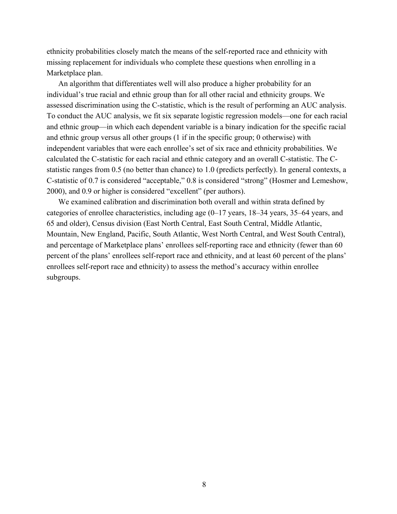ethnicity probabilities closely match the means of the self-reported race and ethnicity with missing replacement for individuals who complete these questions when enrolling in a Marketplace plan.

An algorithm that differentiates well will also produce a higher probability for an individual's true racial and ethnic group than for all other racial and ethnicity groups. We assessed discrimination using the C-statistic, which is the result of performing an AUC analysis. To conduct the AUC analysis, we fit six separate logistic regression models—one for each racial and ethnic group—in which each dependent variable is a binary indication for the specific racial and ethnic group versus all other groups (1 if in the specific group; 0 otherwise) with independent variables that were each enrollee's set of six race and ethnicity probabilities. We calculated the C-statistic for each racial and ethnic category and an overall C-statistic. The Cstatistic ranges from 0.5 (no better than chance) to 1.0 (predicts perfectly). In general contexts, a C-statistic of 0.7 is considered "acceptable," 0.8 is considered "strong" (Hosmer and Lemeshow, 2000), and 0.9 or higher is considered "excellent" (per authors).

We examined calibration and discrimination both overall and within strata defined by categories of enrollee characteristics, including age (0–17 years, 18–34 years, 35–64 years, and 65 and older), Census division (East North Central, East South Central, Middle Atlantic, Mountain, New England, Pacific, South Atlantic, West North Central, and West South Central), and percentage of Marketplace plans' enrollees self-reporting race and ethnicity (fewer than 60 percent of the plans' enrollees self-report race and ethnicity, and at least 60 percent of the plans' enrollees self-report race and ethnicity) to assess the method's accuracy within enrollee subgroups.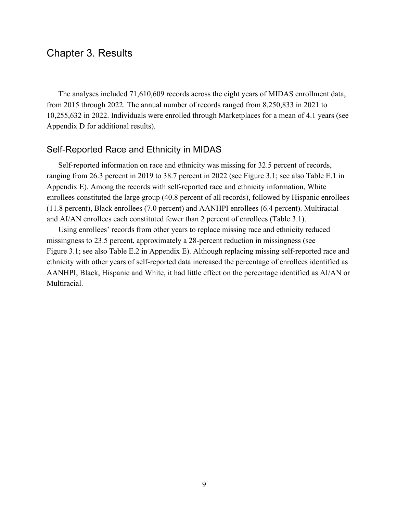The analyses included 71,610,609 records across the eight years of MIDAS enrollment data, from 2015 through 2022. The annual number of records ranged from 8,250,833 in 2021 to 10,255,632 in 2022. Individuals were enrolled through Marketplaces for a mean of 4.1 years (see Appendix D for additional results).

# Self-Reported Race and Ethnicity in MIDAS

Self-reported information on race and ethnicity was missing for 32.5 percent of records, ranging from 26.3 percent in 2019 to 38.7 percent in 2022 (see Figure 3.1; see also Table E.1 in Appendix E). Among the records with self-reported race and ethnicity information, White enrollees constituted the large group (40.8 percent of all records), followed by Hispanic enrollees (11.8 percent), Black enrollees (7.0 percent) and AANHPI enrollees (6.4 percent). Multiracial and AI/AN enrollees each constituted fewer than 2 percent of enrollees (Table 3.1).

Using enrollees' records from other years to replace missing race and ethnicity reduced missingness to 23.5 percent, approximately a 28-percent reduction in missingness (see Figure 3.1; see also Table E.2 in Appendix E). Although replacing missing self-reported race and ethnicity with other years of self-reported data increased the percentage of enrollees identified as AANHPI, Black, Hispanic and White, it had little effect on the percentage identified as AI/AN or Multiracial.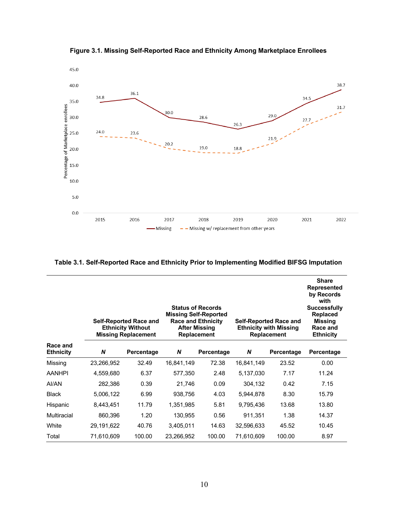

**Figure 3.1. Missing Self-Reported Race and Ethnicity Among Marketplace Enrollees**

|                              | <b>Status of Records</b><br><b>Missing Self-Reported</b><br><b>Race and Ethnicity</b><br><b>Self-Reported Race and</b><br><b>Ethnicity Without</b><br><b>After Missing</b><br><b>Missing Replacement</b><br><b>Replacement</b> |            | <b>Self-Reported Race and</b><br><b>Ethnicity with Missing</b><br><b>Replacement</b> |            | <b>Share</b><br><b>Represented</b><br>by Records<br>with<br><b>Successfully</b><br><b>Replaced</b><br><b>Missing</b><br>Race and<br><b>Ethnicity</b> |            |            |
|------------------------------|--------------------------------------------------------------------------------------------------------------------------------------------------------------------------------------------------------------------------------|------------|--------------------------------------------------------------------------------------|------------|------------------------------------------------------------------------------------------------------------------------------------------------------|------------|------------|
| Race and<br><b>Ethnicity</b> | N                                                                                                                                                                                                                              | Percentage | N                                                                                    | Percentage | N                                                                                                                                                    | Percentage | Percentage |
| Missing                      | 23,266,952                                                                                                                                                                                                                     | 32.49      | 16,841,149                                                                           | 72.38      | 16,841,149                                                                                                                                           | 23.52      | 0.00       |
| AANHPI                       | 4,559,680                                                                                                                                                                                                                      | 6.37       | 577,350                                                                              | 2.48       | 5,137,030                                                                                                                                            | 7.17       | 11.24      |
| AI/AN                        | 282,386                                                                                                                                                                                                                        | 0.39       | 21,746                                                                               | 0.09       | 304,132                                                                                                                                              | 0.42       | 7.15       |
| <b>Black</b>                 | 5,006,122                                                                                                                                                                                                                      | 6.99       | 938,756                                                                              | 4.03       | 5,944,878                                                                                                                                            | 8.30       | 15.79      |
| Hispanic                     | 8,443,451                                                                                                                                                                                                                      | 11.79      | 1,351,985                                                                            | 5.81       | 9,795,436                                                                                                                                            | 13.68      | 13.80      |
| Multiracial                  | 860,396                                                                                                                                                                                                                        | 1.20       | 130,955                                                                              | 0.56       | 911,351                                                                                                                                              | 1.38       | 14.37      |
| White                        | 29,191,622                                                                                                                                                                                                                     | 40.76      | 3,405,011                                                                            | 14.63      | 32,596,633                                                                                                                                           | 45.52      | 10.45      |
| Total                        | 71,610,609                                                                                                                                                                                                                     | 100.00     | 23,266,952                                                                           | 100.00     | 71,610,609                                                                                                                                           | 100.00     | 8.97       |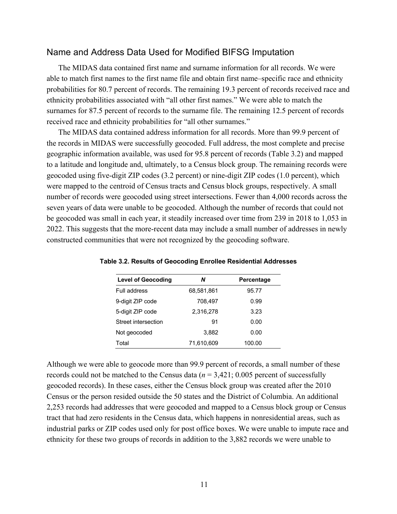### Name and Address Data Used for Modified BIFSG Imputation

The MIDAS data contained first name and surname information for all records. We were able to match first names to the first name file and obtain first name–specific race and ethnicity probabilities for 80.7 percent of records. The remaining 19.3 percent of records received race and ethnicity probabilities associated with "all other first names." We were able to match the surnames for 87.5 percent of records to the surname file. The remaining 12.5 percent of records received race and ethnicity probabilities for "all other surnames."

The MIDAS data contained address information for all records. More than 99.9 percent of the records in MIDAS were successfully geocoded. Full address, the most complete and precise geographic information available, was used for 95.8 percent of records (Table 3.2) and mapped to a latitude and longitude and, ultimately, to a Census block group. The remaining records were geocoded using five-digit ZIP codes (3.2 percent) or nine-digit ZIP codes (1.0 percent), which were mapped to the centroid of Census tracts and Census block groups, respectively. A small number of records were geocoded using street intersections. Fewer than 4,000 records across the seven years of data were unable to be geocoded. Although the number of records that could not be geocoded was small in each year, it steadily increased over time from 239 in 2018 to 1,053 in 2022. This suggests that the more-recent data may include a small number of addresses in newly constructed communities that were not recognized by the geocoding software.

| <b>Level of Geocoding</b> | Ν          | Percentage |
|---------------------------|------------|------------|
| Full address              | 68,581,861 | 95.77      |
| 9-digit ZIP code          | 708.497    | 0.99       |
| 5-digit ZIP code          | 2,316,278  | 3.23       |
| Street intersection       | 91         | 0.00       |
| Not geocoded              | 3,882      | 0.00       |
| Total                     | 71.610.609 | 100.00     |

**Table 3.2. Results of Geocoding Enrollee Residential Addresses**

Although we were able to geocode more than 99.9 percent of records, a small number of these records could not be matched to the Census data  $(n = 3,421; 0.005)$  percent of successfully geocoded records). In these cases, either the Census block group was created after the 2010 Census or the person resided outside the 50 states and the District of Columbia. An additional 2,253 records had addresses that were geocoded and mapped to a Census block group or Census tract that had zero residents in the Census data, which happens in nonresidential areas, such as industrial parks or ZIP codes used only for post office boxes. We were unable to impute race and ethnicity for these two groups of records in addition to the 3,882 records we were unable to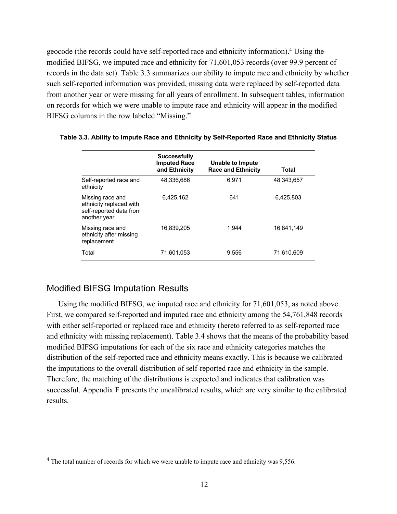geocode (the records could have self-reported race and ethnicity information).4 Using the modified BIFSG, we imputed race and ethnicity for 71,601,053 records (over 99.9 percent of records in the data set). Table 3.3 summarizes our ability to impute race and ethnicity by whether such self-reported information was provided, missing data were replaced by self-reported data from another year or were missing for all years of enrollment. In subsequent tables, information on records for which we were unable to impute race and ethnicity will appear in the modified BIFSG columns in the row labeled "Missing."

|                                                                                        | <b>Successfully</b><br><b>Imputed Race</b><br>and Ethnicity | Unable to Impute<br><b>Race and Ethnicity</b> | Total      |
|----------------------------------------------------------------------------------------|-------------------------------------------------------------|-----------------------------------------------|------------|
| Self-reported race and<br>ethnicity                                                    | 48.336.686                                                  | 6.971                                         | 48.343.657 |
| Missing race and<br>ethnicity replaced with<br>self-reported data from<br>another year | 6.425.162                                                   | 641                                           | 6,425,803  |
| Missing race and<br>ethnicity after missing<br>replacement                             | 16.839.205                                                  | 1.944                                         | 16.841.149 |
| Total                                                                                  | 71,601,053                                                  | 9,556                                         | 71,610,609 |

#### **Table 3.3. Ability to Impute Race and Ethnicity by Self-Reported Race and Ethnicity Status**

# Modified BIFSG Imputation Results

Using the modified BIFSG, we imputed race and ethnicity for 71,601,053, as noted above. First, we compared self-reported and imputed race and ethnicity among the 54,761,848 records with either self-reported or replaced race and ethnicity (hereto referred to as self-reported race and ethnicity with missing replacement). Table 3.4 shows that the means of the probability based modified BIFSG imputations for each of the six race and ethnicity categories matches the distribution of the self-reported race and ethnicity means exactly. This is because we calibrated the imputations to the overall distribution of self-reported race and ethnicity in the sample. Therefore, the matching of the distributions is expected and indicates that calibration was successful. Appendix F presents the uncalibrated results, which are very similar to the calibrated results.

<sup>&</sup>lt;sup>4</sup> The total number of records for which we were unable to impute race and ethnicity was 9,556.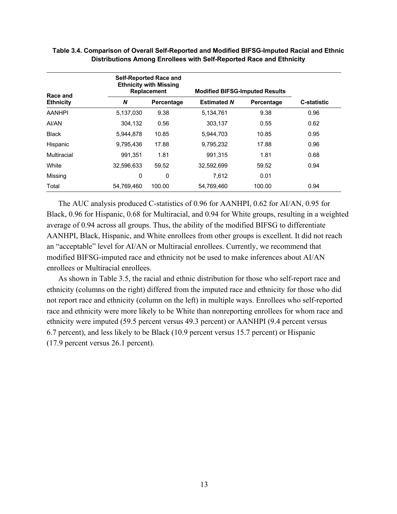| Race and         |            | <b>Self-Reported Race and</b><br><b>Ethnicity with Missing</b><br><b>Replacement</b> | <b>Modified BIFSG-Imputed Results</b> |            |                    |
|------------------|------------|--------------------------------------------------------------------------------------|---------------------------------------|------------|--------------------|
| <b>Ethnicity</b> | N          | Percentage                                                                           | <b>Estimated N</b>                    | Percentage | <b>C-statistic</b> |
| <b>AANHPI</b>    | 5,137,030  | 9.38                                                                                 | 5,134,761                             | 9.38       | 0.96               |
| AI/AN            | 304.132    | 0.56                                                                                 | 303.137                               | 0.55       | 0.62               |
| <b>Black</b>     | 5,944,878  | 10.85                                                                                | 5,944,703                             | 10.85      | 0.95               |
| Hispanic         | 9,795,436  | 17.88                                                                                | 9,795,232                             | 17.88      | 0.96               |
| Multiracial      | 991.351    | 1.81                                                                                 | 991.315                               | 1.81       | 0.68               |
| White            | 32.596.633 | 59.52                                                                                | 32.592.699                            | 59.52      | 0.94               |
| Missing          | 0          | 0                                                                                    | 7,612                                 | 0.01       |                    |
| Total            | 54,769,460 | 100.00                                                                               | 54,769,460                            | 100.00     | 0.94               |

### **Table 3.4. Comparison of Overall Self-Reported and Modified BIFSG-Imputed Racial and Ethnic Distributions Among Enrollees with Self-Reported Race and Ethnicity**

The AUC analysis produced C-statistics of 0.96 for AANHPI, 0.62 for AI/AN, 0.95 for Black, 0.96 for Hispanic, 0.68 for Multiracial, and 0.94 for White groups, resulting in a weighted average of 0.94 across all groups. Thus, the ability of the modified BIFSG to differentiate AANHPI, Black, Hispanic, and White enrollees from other groups is excellent. It did not reach an "acceptable" level for AI/AN or Multiracial enrollees. Currently, we recommend that modified BIFSG-imputed race and ethnicity not be used to make inferences about AI/AN enrollees or Multiracial enrollees.

As shown in Table 3.5, the racial and ethnic distribution for those who self-report race and ethnicity (columns on the right) differed from the imputed race and ethnicity for those who did not report race and ethnicity (column on the left) in multiple ways. Enrollees who self-reported race and ethnicity were more likely to be White than nonreporting enrollees for whom race and ethnicity were imputed (59.5 percent versus 49.3 percent) or AANHPI (9.4 percent versus 6.7 percent), and less likely to be Black (10.9 percent versus 15.7 percent) or Hispanic (17.9 percent versus 26.1 percent).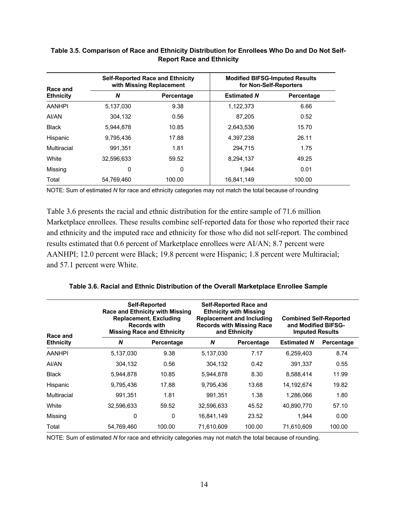| Race and         |            | <b>Self-Reported Race and Ethnicity</b><br>with Missing Replacement | <b>Modified BIFSG-Imputed Results</b><br>for Non-Self-Reporters |            |  |
|------------------|------------|---------------------------------------------------------------------|-----------------------------------------------------------------|------------|--|
| <b>Ethnicity</b> | N          | Percentage                                                          | <b>Estimated N</b>                                              | Percentage |  |
| <b>AANHPI</b>    | 5,137,030  | 9.38                                                                | 1,122,373                                                       | 6.66       |  |
| AI/AN            | 304.132    | 0.56                                                                | 87.205                                                          | 0.52       |  |
| <b>Black</b>     | 5.944.878  | 10.85                                                               | 2,643,536                                                       | 15.70      |  |
| Hispanic         | 9.795.436  | 17.88                                                               | 4,397,238                                                       | 26.11      |  |
| Multiracial      | 991.351    | 1.81                                                                | 294.715                                                         | 1.75       |  |
| White            | 32.596.633 | 59.52                                                               | 8,294,137                                                       | 49.25      |  |
| Missing          | $\Omega$   | 0                                                                   | 1.944                                                           | 0.01       |  |
| Total            | 54,769,460 | 100.00                                                              | 16,841,149                                                      | 100.00     |  |

# **Table 3.5. Comparison of Race and Ethnicity Distribution for Enrollees Who Do and Do Not Self-Report Race and Ethnicity**

NOTE: Sum of estimated *N* for race and ethnicity categories may not match the total because of rounding

Table 3.6 presents the racial and ethnic distribution for the entire sample of 71.6 million Marketplace enrollees. These results combine self-reported data for those who reported their race and ethnicity and the imputed race and ethnicity for those who did not self-report. The combined results estimated that 0.6 percent of Marketplace enrollees were AI/AN; 8.7 percent were AANHPI; 12.0 percent were Black; 19.8 percent were Hispanic; 1.8 percent were Multiracial; and 57.1 percent were White.

|  |  | Table 3.6. Racial and Ethnic Distribution of the Overall Marketplace Enrollee Sample |  |
|--|--|--------------------------------------------------------------------------------------|--|
|  |  |                                                                                      |  |

| Race and         |            | <b>Self-Reported</b><br><b>Race and Ethnicity with Missing</b><br><b>Replacement, Excluding</b><br><b>Records with</b><br><b>Missing Race and Ethnicity</b> | <b>Self-Reported Race and</b><br><b>Ethnicity with Missing</b><br><b>Replacement and Including</b><br><b>Records with Missing Race</b><br>and Ethnicity |            | <b>Combined Self-Reported</b><br>and Modified BIFSG-<br><b>Imputed Results</b> |            |
|------------------|------------|-------------------------------------------------------------------------------------------------------------------------------------------------------------|---------------------------------------------------------------------------------------------------------------------------------------------------------|------------|--------------------------------------------------------------------------------|------------|
| <b>Ethnicity</b> | N          | Percentage                                                                                                                                                  | N                                                                                                                                                       | Percentage | <b>Estimated N</b>                                                             | Percentage |
| <b>AANHPI</b>    | 5,137,030  | 9.38                                                                                                                                                        | 5.137.030                                                                                                                                               | 7.17       | 6,259,403                                                                      | 8.74       |
| AI/AN            | 304.132    | 0.56                                                                                                                                                        | 304,132                                                                                                                                                 | 0.42       | 391.337                                                                        | 0.55       |
| <b>Black</b>     | 5,944,878  | 10.85                                                                                                                                                       | 5,944,878                                                                                                                                               | 8.30       | 8,588,414                                                                      | 11.99      |
| Hispanic         | 9,795,436  | 17.88                                                                                                                                                       | 9,795,436                                                                                                                                               | 13.68      | 14,192,674                                                                     | 19.82      |
| Multiracial      | 991.351    | 1.81                                                                                                                                                        | 991.351                                                                                                                                                 | 1.38       | 1,286,066                                                                      | 1.80       |
| White            | 32,596,633 | 59.52                                                                                                                                                       | 32,596,633                                                                                                                                              | 45.52      | 40,890,770                                                                     | 57.10      |
| Missing          | 0          | 0                                                                                                                                                           | 16,841,149                                                                                                                                              | 23.52      | 1.944                                                                          | 0.00       |
| Total            | 54,769,460 | 100.00                                                                                                                                                      | 71,610,609                                                                                                                                              | 100.00     | 71.610.609                                                                     | 100.00     |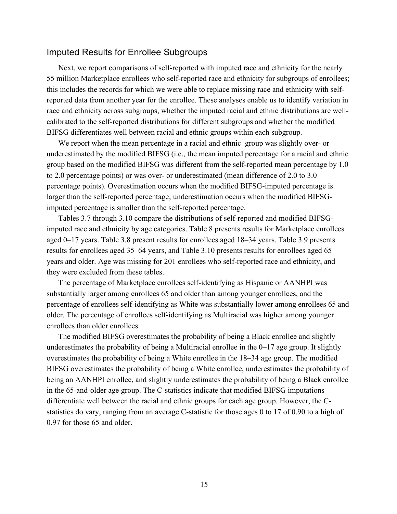#### Imputed Results for Enrollee Subgroups

Next, we report comparisons of self-reported with imputed race and ethnicity for the nearly 55 million Marketplace enrollees who self-reported race and ethnicity for subgroups of enrollees; this includes the records for which we were able to replace missing race and ethnicity with selfreported data from another year for the enrollee. These analyses enable us to identify variation in race and ethnicity across subgroups, whether the imputed racial and ethnic distributions are wellcalibrated to the self-reported distributions for different subgroups and whether the modified BIFSG differentiates well between racial and ethnic groups within each subgroup.

We report when the mean percentage in a racial and ethnic group was slightly over- or underestimated by the modified BIFSG (i.e., the mean imputed percentage for a racial and ethnic group based on the modified BIFSG was different from the self-reported mean percentage by 1.0 to 2.0 percentage points) or was over- or underestimated (mean difference of 2.0 to 3.0 percentage points). Overestimation occurs when the modified BIFSG-imputed percentage is larger than the self-reported percentage; underestimation occurs when the modified BIFSGimputed percentage is smaller than the self-reported percentage.

Tables 3.7 through 3.10 compare the distributions of self-reported and modified BIFSGimputed race and ethnicity by age categories. Table 8 presents results for Marketplace enrollees aged 0–17 years. Table 3.8 present results for enrollees aged 18–34 years. Table 3.9 presents results for enrollees aged 35–64 years, and Table 3.10 presents results for enrollees aged 65 years and older. Age was missing for 201 enrollees who self-reported race and ethnicity, and they were excluded from these tables.

The percentage of Marketplace enrollees self-identifying as Hispanic or AANHPI was substantially larger among enrollees 65 and older than among younger enrollees, and the percentage of enrollees self-identifying as White was substantially lower among enrollees 65 and older. The percentage of enrollees self-identifying as Multiracial was higher among younger enrollees than older enrollees.

The modified BIFSG overestimates the probability of being a Black enrollee and slightly underestimates the probability of being a Multiracial enrollee in the 0–17 age group. It slightly overestimates the probability of being a White enrollee in the 18–34 age group. The modified BIFSG overestimates the probability of being a White enrollee, underestimates the probability of being an AANHPI enrollee, and slightly underestimates the probability of being a Black enrollee in the 65-and-older age group. The C-statistics indicate that modified BIFSG imputations differentiate well between the racial and ethnic groups for each age group. However, the Cstatistics do vary, ranging from an average C-statistic for those ages 0 to 17 of 0.90 to a high of 0.97 for those 65 and older.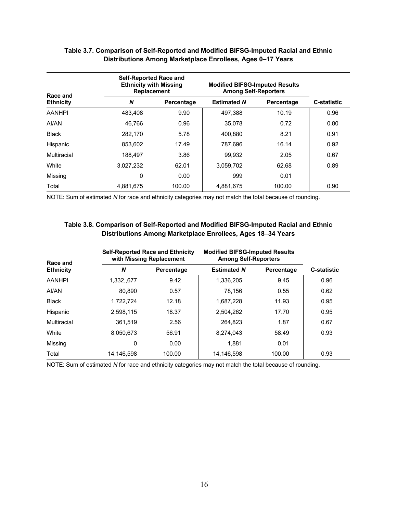| Race and         | <b>Self-Reported Race and</b><br><b>Ethnicity with Missing</b><br><b>Replacement</b> |            | <b>Modified BIFSG-Imputed Results</b><br><b>Among Self-Reporters</b> |            |                    |
|------------------|--------------------------------------------------------------------------------------|------------|----------------------------------------------------------------------|------------|--------------------|
| <b>Ethnicity</b> | N                                                                                    | Percentage | <b>Estimated N</b>                                                   | Percentage | <b>C-statistic</b> |
| <b>AANHPI</b>    | 483.408                                                                              | 9.90       | 497.388                                                              | 10.19      | 0.96               |
| AI/AN            | 46.766                                                                               | 0.96       | 35,078                                                               | 0.72       | 0.80               |
| <b>Black</b>     | 282.170                                                                              | 5.78       | 400.880                                                              | 8.21       | 0.91               |
| Hispanic         | 853.602                                                                              | 17.49      | 787.696                                                              | 16.14      | 0.92               |
| Multiracial      | 188.497                                                                              | 3.86       | 99.932                                                               | 2.05       | 0.67               |
| White            | 3.027.232                                                                            | 62.01      | 3.059.702                                                            | 62.68      | 0.89               |
| Missing          | 0                                                                                    | 0.00       | 999                                                                  | 0.01       |                    |
| Total            | 4,881,675                                                                            | 100.00     | 4,881,675                                                            | 100.00     | 0.90               |

### **Table 3.7. Comparison of Self-Reported and Modified BIFSG-Imputed Racial and Ethnic Distributions Among Marketplace Enrollees, Ages 0–17 Years**

NOTE: Sum of estimated *N* for race and ethnicity categories may not match the total because of rounding.

#### **Table 3.8. Comparison of Self-Reported and Modified BIFSG-Imputed Racial and Ethnic Distributions Among Marketplace Enrollees, Ages 18–34 Years**

| Race and         | <b>Self-Reported Race and Ethnicity</b><br>with Missing Replacement |            | <b>Modified BIFSG-Imputed Results</b><br><b>Among Self-Reporters</b> |            |                    |
|------------------|---------------------------------------------------------------------|------------|----------------------------------------------------------------------|------------|--------------------|
| <b>Ethnicity</b> | N                                                                   | Percentage | <b>Estimated N</b>                                                   | Percentage | <b>C-statistic</b> |
| <b>AANHPI</b>    | 1,332,,677                                                          | 9.42       | 1,336,205                                                            | 9.45       | 0.96               |
| AI/AN            | 80.890                                                              | 0.57       | 78.156                                                               | 0.55       | 0.62               |
| <b>Black</b>     | 1.722.724                                                           | 12.18      | 1,687,228                                                            | 11.93      | 0.95               |
| Hispanic         | 2,598,115                                                           | 18.37      | 2,504,262                                                            | 17.70      | 0.95               |
| Multiracial      | 361.519                                                             | 2.56       | 264.823                                                              | 1.87       | 0.67               |
| White            | 8.050.673                                                           | 56.91      | 8.274.043                                                            | 58.49      | 0.93               |
| Missing          | 0                                                                   | 0.00       | 1,881                                                                | 0.01       |                    |
| Total            | 14.146.598                                                          | 100.00     | 14.146.598                                                           | 100.00     | 0.93               |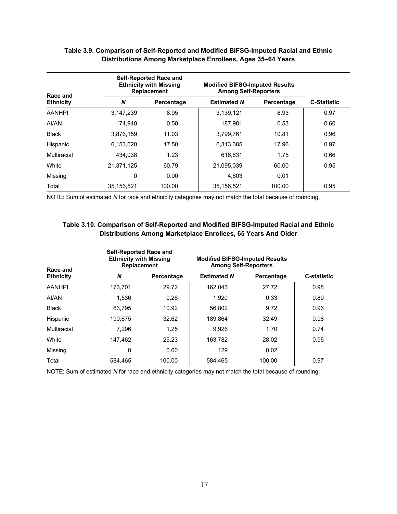| Race and         |            | <b>Self-Reported Race and</b><br><b>Ethnicity with Missing</b><br><b>Replacement</b> | <b>Modified BIFSG-Imputed Results</b><br><b>Among Self-Reporters</b> |            |                    |
|------------------|------------|--------------------------------------------------------------------------------------|----------------------------------------------------------------------|------------|--------------------|
| <b>Ethnicity</b> | N          | Percentage                                                                           | <b>Estimated N</b>                                                   | Percentage | <b>C-Statistic</b> |
| <b>AANHPI</b>    | 3.147.239  | 8.95                                                                                 | 3,139,121                                                            | 8.93       | 0.97               |
| AI/AN            | 174.940    | 0.50                                                                                 | 187.981                                                              | 0.53       | 0.60               |
| <b>Black</b>     | 3,876,159  | 11.03                                                                                | 3,799,761                                                            | 10.81      | 0.96               |
| Hispanic         | 6.153.020  | 17.50                                                                                | 6,313,385                                                            | 17.96      | 0.97               |
| Multiracial      | 434.038    | 1.23                                                                                 | 616.631                                                              | 1.75       | 0.66               |
| White            | 21,371,125 | 60.79                                                                                | 21,095,039                                                           | 60.00      | 0.95               |
| Missing          | 0          | 0.00                                                                                 | 4.603                                                                | 0.01       |                    |
| Total            | 35.156.521 | 100.00                                                                               | 35,156,521                                                           | 100.00     | 0.95               |

### **Table 3.9. Comparison of Self-Reported and Modified BIFSG-Imputed Racial and Ethnic Distributions Among Marketplace Enrollees, Ages 35–64 Years**

NOTE: Sum of estimated *N* for race and ethnicity categories may not match the total because of rounding.

#### **Table 3.10. Comparison of Self-Reported and Modified BIFSG-Imputed Racial and Ethnic Distributions Among Marketplace Enrollees, 65 Years And Older**

| Race and         |         | <b>Self-Reported Race and</b><br><b>Ethnicity with Missing</b><br><b>Replacement</b> |                    | <b>Modified BIFSG-Imputed Results</b><br><b>Among Self-Reporters</b> |                    |  |
|------------------|---------|--------------------------------------------------------------------------------------|--------------------|----------------------------------------------------------------------|--------------------|--|
| <b>Ethnicity</b> | N       | Percentage                                                                           | <b>Estimated N</b> | Percentage                                                           | <b>C-statistic</b> |  |
| <b>AANHPI</b>    | 173.701 | 29.72                                                                                | 162.043            | 27.72                                                                | 0.98               |  |
| AI/AN            | 1.536   | 0.26                                                                                 | 1.920              | 0.33                                                                 | 0.89               |  |
| <b>Black</b>     | 63.795  | 10.92                                                                                | 56.802             | 9.72                                                                 | 0.96               |  |
| Hispanic         | 190.675 | 32.62                                                                                | 189.864            | 32.49                                                                | 0.98               |  |
| Multiracial      | 7.296   | 1.25                                                                                 | 9.926              | 1.70                                                                 | 0.74               |  |
| White            | 147.462 | 25.23                                                                                | 163,782            | 28.02                                                                | 0.95               |  |
| Missing          | 0       | 0.00                                                                                 | 129                | 0.02                                                                 |                    |  |
| Total            | 584,465 | 100.00                                                                               | 584,465            | 100.00                                                               | 0.97               |  |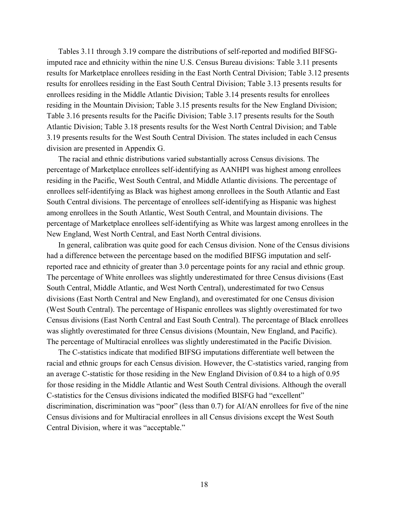Tables 3.11 through 3.19 compare the distributions of self-reported and modified BIFSGimputed race and ethnicity within the nine U.S. Census Bureau divisions: Table 3.11 presents results for Marketplace enrollees residing in the East North Central Division; Table 3.12 presents results for enrollees residing in the East South Central Division; Table 3.13 presents results for enrollees residing in the Middle Atlantic Division; Table 3.14 presents results for enrollees residing in the Mountain Division; Table 3.15 presents results for the New England Division; Table 3.16 presents results for the Pacific Division; Table 3.17 presents results for the South Atlantic Division; Table 3.18 presents results for the West North Central Division; and Table 3.19 presents results for the West South Central Division. The states included in each Census division are presented in Appendix G.

The racial and ethnic distributions varied substantially across Census divisions. The percentage of Marketplace enrollees self-identifying as AANHPI was highest among enrollees residing in the Pacific, West South Central, and Middle Atlantic divisions. The percentage of enrollees self-identifying as Black was highest among enrollees in the South Atlantic and East South Central divisions. The percentage of enrollees self-identifying as Hispanic was highest among enrollees in the South Atlantic, West South Central, and Mountain divisions. The percentage of Marketplace enrollees self-identifying as White was largest among enrollees in the New England, West North Central, and East North Central divisions.

In general, calibration was quite good for each Census division. None of the Census divisions had a difference between the percentage based on the modified BIFSG imputation and selfreported race and ethnicity of greater than 3.0 percentage points for any racial and ethnic group. The percentage of White enrollees was slightly underestimated for three Census divisions (East South Central, Middle Atlantic, and West North Central), underestimated for two Census divisions (East North Central and New England), and overestimated for one Census division (West South Central). The percentage of Hispanic enrollees was slightly overestimated for two Census divisions (East North Central and East South Central). The percentage of Black enrollees was slightly overestimated for three Census divisions (Mountain, New England, and Pacific). The percentage of Multiracial enrollees was slightly underestimated in the Pacific Division.

The C-statistics indicate that modified BIFSG imputations differentiate well between the racial and ethnic groups for each Census division. However, the C-statistics varied, ranging from an average C-statistic for those residing in the New England Division of 0.84 to a high of 0.95 for those residing in the Middle Atlantic and West South Central divisions. Although the overall C-statistics for the Census divisions indicated the modified BISFG had "excellent" discrimination, discrimination was "poor" (less than 0.7) for AI/AN enrollees for five of the nine Census divisions and for Multiracial enrollees in all Census divisions except the West South Central Division, where it was "acceptable."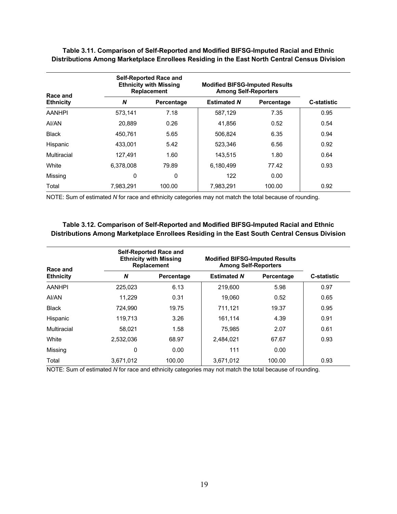| Race and         |           | <b>Self-Reported Race and</b><br><b>Ethnicity with Missing</b><br><b>Replacement</b> |                    | <b>Modified BIFSG-Imputed Results</b><br><b>Among Self-Reporters</b> |                    |
|------------------|-----------|--------------------------------------------------------------------------------------|--------------------|----------------------------------------------------------------------|--------------------|
| <b>Ethnicity</b> | N         | Percentage                                                                           | <b>Estimated N</b> | Percentage                                                           | <b>C-statistic</b> |
| <b>AANHPI</b>    | 573.141   | 7.18                                                                                 | 587,129            | 7.35                                                                 | 0.95               |
| AI/AN            | 20,889    | 0.26                                                                                 | 41,856             | 0.52                                                                 | 0.54               |
| <b>Black</b>     | 450.761   | 5.65                                                                                 | 506.824            | 6.35                                                                 | 0.94               |
| Hispanic         | 433,001   | 5.42                                                                                 | 523.346            | 6.56                                                                 | 0.92               |
| Multiracial      | 127.491   | 1.60                                                                                 | 143,515            | 1.80                                                                 | 0.64               |
| White            | 6.378.008 | 79.89                                                                                | 6.180.499          | 77.42                                                                | 0.93               |
| Missing          | 0         | 0                                                                                    | 122                | 0.00                                                                 |                    |
| Total            | 7.983.291 | 100.00                                                                               | 7,983,291          | 100.00                                                               | 0.92               |

**Table 3.11. Comparison of Self-Reported and Modified BIFSG-Imputed Racial and Ethnic Distributions Among Marketplace Enrollees Residing in the East North Central Census Division**

NOTE: Sum of estimated *N* for race and ethnicity categories may not match the total because of rounding.

#### **Table 3.12. Comparison of Self-Reported and Modified BIFSG-Imputed Racial and Ethnic Distributions Among Marketplace Enrollees Residing in the East South Central Census Division**

| Race and         |           | <b>Self-Reported Race and</b><br><b>Ethnicity with Missing</b><br><b>Replacement</b> |                    | <b>Modified BIFSG-Imputed Results</b><br><b>Among Self-Reporters</b> |                    |  |
|------------------|-----------|--------------------------------------------------------------------------------------|--------------------|----------------------------------------------------------------------|--------------------|--|
| <b>Ethnicity</b> | N         | Percentage                                                                           | <b>Estimated N</b> | Percentage                                                           | <b>C-statistic</b> |  |
| <b>AANHPI</b>    | 225.023   | 6.13                                                                                 | 219,600            | 5.98                                                                 | 0.97               |  |
| AI/AN            | 11.229    | 0.31                                                                                 | 19.060             | 0.52                                                                 | 0.65               |  |
| <b>Black</b>     | 724.990   | 19.75                                                                                | 711,121            | 19.37                                                                | 0.95               |  |
| Hispanic         | 119.713   | 3.26                                                                                 | 161.114            | 4.39                                                                 | 0.91               |  |
| Multiracial      | 58,021    | 1.58                                                                                 | 75,985             | 2.07                                                                 | 0.61               |  |
| White            | 2.532.036 | 68.97                                                                                | 2.484.021          | 67.67                                                                | 0.93               |  |
| Missing          | 0         | 0.00                                                                                 | 111                | 0.00                                                                 |                    |  |
| Total            | 3,671,012 | 100.00                                                                               | 3,671,012          | 100.00                                                               | 0.93               |  |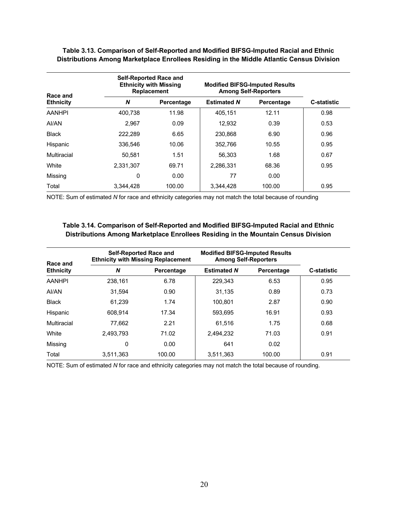| Race and         |           | <b>Self-Reported Race and</b><br><b>Ethnicity with Missing</b><br><b>Replacement</b> | <b>Modified BIFSG-Imputed Results</b><br><b>Among Self-Reporters</b> |            |                    |
|------------------|-----------|--------------------------------------------------------------------------------------|----------------------------------------------------------------------|------------|--------------------|
| <b>Ethnicity</b> | N         | Percentage                                                                           | <b>Estimated N</b>                                                   | Percentage | <b>C-statistic</b> |
| <b>AANHPI</b>    | 400.738   | 11.98                                                                                | 405.151                                                              | 12.11      | 0.98               |
| AI/AN            | 2.967     | 0.09                                                                                 | 12,932                                                               | 0.39       | 0.53               |
| <b>Black</b>     | 222.289   | 6.65                                                                                 | 230,868                                                              | 6.90       | 0.96               |
| Hispanic         | 336.546   | 10.06                                                                                | 352,766                                                              | 10.55      | 0.95               |
| Multiracial      | 50.581    | 1.51                                                                                 | 56,303                                                               | 1.68       | 0.67               |
| White            | 2,331,307 | 69.71                                                                                | 2,286,331                                                            | 68.36      | 0.95               |
| Missing          | 0         | 0.00                                                                                 | 77                                                                   | 0.00       |                    |
| Total            | 3.344.428 | 100.00                                                                               | 3.344.428                                                            | 100.00     | 0.95               |

**Table 3.13. Comparison of Self-Reported and Modified BIFSG-Imputed Racial and Ethnic Distributions Among Marketplace Enrollees Residing in the Middle Atlantic Census Division**

NOTE: Sum of estimated *N* for race and ethnicity categories may not match the total because of rounding

#### **Table 3.14. Comparison of Self-Reported and Modified BIFSG-Imputed Racial and Ethnic Distributions Among Marketplace Enrollees Residing in the Mountain Census Division**

| Race and         | <b>Self-Reported Race and</b><br><b>Ethnicity with Missing Replacement</b> |            | <b>Modified BIFSG-Imputed Results</b><br><b>Among Self-Reporters</b> |            |                    |
|------------------|----------------------------------------------------------------------------|------------|----------------------------------------------------------------------|------------|--------------------|
| <b>Ethnicity</b> | N                                                                          | Percentage | <b>Estimated N</b>                                                   | Percentage | <b>C-statistic</b> |
| <b>AANHPI</b>    | 238.161                                                                    | 6.78       | 229.343                                                              | 6.53       | 0.95               |
| AI/AN            | 31.594                                                                     | 0.90       | 31.135                                                               | 0.89       | 0.73               |
| <b>Black</b>     | 61.239                                                                     | 1.74       | 100.801                                                              | 2.87       | 0.90               |
| Hispanic         | 608.914                                                                    | 17.34      | 593.695                                                              | 16.91      | 0.93               |
| Multiracial      | 77.662                                                                     | 2.21       | 61.516                                                               | 1.75       | 0.68               |
| White            | 2,493,793                                                                  | 71.02      | 2,494,232                                                            | 71.03      | 0.91               |
| Missing          | 0                                                                          | 0.00       | 641                                                                  | 0.02       |                    |
| Total            | 3,511,363                                                                  | 100.00     | 3,511,363                                                            | 100.00     | 0.91               |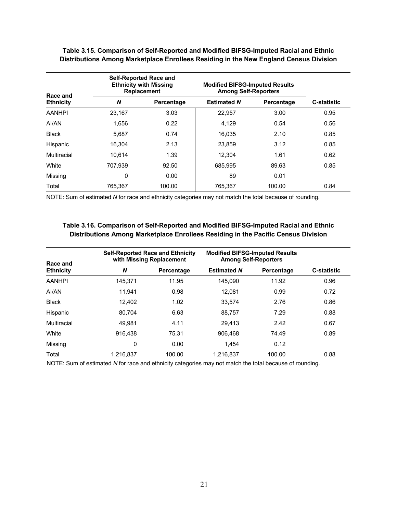| Race and         |         | <b>Self-Reported Race and</b><br><b>Ethnicity with Missing</b><br><b>Replacement</b> |                    | <b>Modified BIFSG-Imputed Results</b><br><b>Among Self-Reporters</b> |                    |  |
|------------------|---------|--------------------------------------------------------------------------------------|--------------------|----------------------------------------------------------------------|--------------------|--|
| <b>Ethnicity</b> | N       | Percentage                                                                           | <b>Estimated N</b> | Percentage                                                           | <b>C-statistic</b> |  |
| <b>AANHPI</b>    | 23.167  | 3.03                                                                                 | 22,957             | 3.00                                                                 | 0.95               |  |
| AI/AN            | 1.656   | 0.22                                                                                 | 4,129              | 0.54                                                                 | 0.56               |  |
| <b>Black</b>     | 5.687   | 0.74                                                                                 | 16.035             | 2.10                                                                 | 0.85               |  |
| Hispanic         | 16.304  | 2.13                                                                                 | 23.859             | 3.12                                                                 | 0.85               |  |
| Multiracial      | 10,614  | 1.39                                                                                 | 12.304             | 1.61                                                                 | 0.62               |  |
| White            | 707.939 | 92.50                                                                                | 685.995            | 89.63                                                                | 0.85               |  |
| Missing          | 0       | 0.00                                                                                 | 89                 | 0.01                                                                 |                    |  |
| Total            | 765.367 | 100.00                                                                               | 765.367            | 100.00                                                               | 0.84               |  |

**Table 3.15. Comparison of Self-Reported and Modified BIFSG-Imputed Racial and Ethnic Distributions Among Marketplace Enrollees Residing in the New England Census Division**

NOTE: Sum of estimated *N* for race and ethnicity categories may not match the total because of rounding.

#### **Table 3.16. Comparison of Self-Reported and Modified BIFSG-Imputed Racial and Ethnic Distributions Among Marketplace Enrollees Residing in the Pacific Census Division**

| Race and         | <b>Self-Reported Race and Ethnicity</b><br>with Missing Replacement |            | <b>Modified BIFSG-Imputed Results</b><br><b>Among Self-Reporters</b> |            |                    |
|------------------|---------------------------------------------------------------------|------------|----------------------------------------------------------------------|------------|--------------------|
| <b>Ethnicity</b> | N                                                                   | Percentage | <b>Estimated N</b>                                                   | Percentage | <b>C-statistic</b> |
| <b>AANHPI</b>    | 145.371                                                             | 11.95      | 145.090                                                              | 11.92      | 0.96               |
| AI/AN            | 11.941                                                              | 0.98       | 12.081                                                               | 0.99       | 0.72               |
| <b>Black</b>     | 12.402                                                              | 1.02       | 33.574                                                               | 2.76       | 0.86               |
| Hispanic         | 80.704                                                              | 6.63       | 88.757                                                               | 7.29       | 0.88               |
| Multiracial      | 49.981                                                              | 4.11       | 29.413                                                               | 2.42       | 0.67               |
| White            | 916.438                                                             | 75.31      | 906.468                                                              | 74.49      | 0.89               |
| Missing          | 0                                                                   | 0.00       | 1.454                                                                | 0.12       |                    |
| Total            | 1.216.837                                                           | 100.00     | 1.216.837                                                            | 100.00     | 0.88               |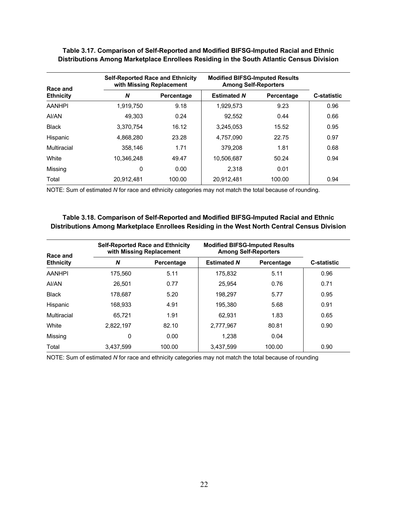| Race and         |            | <b>Self-Reported Race and Ethnicity</b><br>with Missing Replacement |                    | <b>Modified BIFSG-Imputed Results</b><br><b>Among Self-Reporters</b> |                    |  |
|------------------|------------|---------------------------------------------------------------------|--------------------|----------------------------------------------------------------------|--------------------|--|
| <b>Ethnicity</b> | N          | Percentage                                                          | <b>Estimated N</b> | Percentage                                                           | <b>C-statistic</b> |  |
| <b>AANHPI</b>    | 1,919,750  | 9.18                                                                | 1,929,573          | 9.23                                                                 | 0.96               |  |
| AI/AN            | 49.303     | 0.24                                                                | 92,552             | 0.44                                                                 | 0.66               |  |
| <b>Black</b>     | 3.370.754  | 16.12                                                               | 3.245.053          | 15.52                                                                | 0.95               |  |
| Hispanic         | 4.868.280  | 23.28                                                               | 4.757.090          | 22.75                                                                | 0.97               |  |
| Multiracial      | 358.146    | 1.71                                                                | 379.208            | 1.81                                                                 | 0.68               |  |
| White            | 10.346.248 | 49.47                                                               | 10.506.687         | 50.24                                                                | 0.94               |  |
| Missing          | 0          | 0.00                                                                | 2,318              | 0.01                                                                 |                    |  |
| Total            | 20.912.481 | 100.00                                                              | 20.912.481         | 100.00                                                               | 0.94               |  |

**Table 3.17. Comparison of Self-Reported and Modified BIFSG-Imputed Racial and Ethnic Distributions Among Marketplace Enrollees Residing in the South Atlantic Census Division**

NOTE: Sum of estimated *N* for race and ethnicity categories may not match the total because of rounding.

#### **Table 3.18. Comparison of Self-Reported and Modified BIFSG-Imputed Racial and Ethnic Distributions Among Marketplace Enrollees Residing in the West North Central Census Division**

| Race and         |           | <b>Self-Reported Race and Ethnicity</b><br>with Missing Replacement |                    | <b>Modified BIFSG-Imputed Results</b><br><b>Among Self-Reporters</b> |                    |  |
|------------------|-----------|---------------------------------------------------------------------|--------------------|----------------------------------------------------------------------|--------------------|--|
| <b>Ethnicity</b> | N         | Percentage                                                          | <b>Estimated N</b> | Percentage                                                           | <b>C-statistic</b> |  |
| <b>AANHPI</b>    | 175.560   | 5.11                                                                | 175.832            | 5.11                                                                 | 0.96               |  |
| AI/AN            | 26.501    | 0.77                                                                | 25.954             | 0.76                                                                 | 0.71               |  |
| <b>Black</b>     | 178.687   | 5.20                                                                | 198.297            | 5.77                                                                 | 0.95               |  |
| Hispanic         | 168.933   | 4.91                                                                | 195.380            | 5.68                                                                 | 0.91               |  |
| Multiracial      | 65.721    | 1.91                                                                | 62.931             | 1.83                                                                 | 0.65               |  |
| White            | 2.822.197 | 82.10                                                               | 2.777.967          | 80.81                                                                | 0.90               |  |
| Missing          | 0         | 0.00                                                                | 1.238              | 0.04                                                                 |                    |  |
| Total            | 3,437,599 | 100.00                                                              | 3,437,599          | 100.00                                                               | 0.90               |  |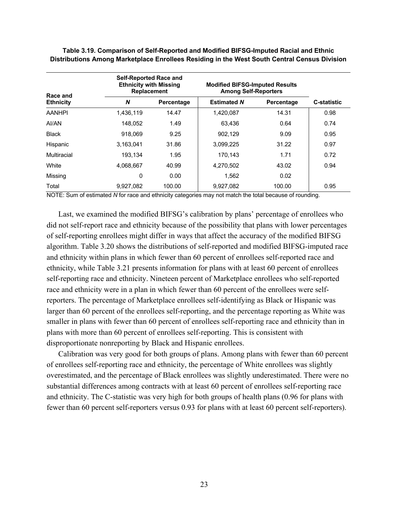| Race and         | <b>Self-Reported Race and</b><br><b>Ethnicity with Missing</b><br><b>Replacement</b> |            |                    | <b>Modified BIFSG-Imputed Results</b><br><b>Among Self-Reporters</b> |                    |  |
|------------------|--------------------------------------------------------------------------------------|------------|--------------------|----------------------------------------------------------------------|--------------------|--|
| <b>Ethnicity</b> | N                                                                                    | Percentage | <b>Estimated N</b> | Percentage                                                           | <b>C-statistic</b> |  |
| <b>AANHPI</b>    | 1,436,119                                                                            | 14.47      | 1,420,087          | 14.31                                                                | 0.98               |  |
| AI/AN            | 148.052                                                                              | 1.49       | 63.436             | 0.64                                                                 | 0.74               |  |
| <b>Black</b>     | 918.069                                                                              | 9.25       | 902.129            | 9.09                                                                 | 0.95               |  |
| Hispanic         | 3,163,041                                                                            | 31.86      | 3,099,225          | 31.22                                                                | 0.97               |  |
| Multiracial      | 193.134                                                                              | 1.95       | 170.143            | 1.71                                                                 | 0.72               |  |
| White            | 4.068.667                                                                            | 40.99      | 4.270.502          | 43.02                                                                | 0.94               |  |
| Missing          | 0                                                                                    | 0.00       | 1.562              | 0.02                                                                 |                    |  |
| Total            | 9.927.082                                                                            | 100.00     | 9.927.082          | 100.00                                                               | 0.95               |  |

**Table 3.19. Comparison of Self-Reported and Modified BIFSG-Imputed Racial and Ethnic Distributions Among Marketplace Enrollees Residing in the West South Central Census Division**

NOTE: Sum of estimated *N* for race and ethnicity categories may not match the total because of rounding.

Last, we examined the modified BIFSG's calibration by plans' percentage of enrollees who did not self-report race and ethnicity because of the possibility that plans with lower percentages of self-reporting enrollees might differ in ways that affect the accuracy of the modified BIFSG algorithm. Table 3.20 shows the distributions of self-reported and modified BIFSG-imputed race and ethnicity within plans in which fewer than 60 percent of enrollees self-reported race and ethnicity, while Table 3.21 presents information for plans with at least 60 percent of enrollees self-reporting race and ethnicity. Nineteen percent of Marketplace enrollees who self-reported race and ethnicity were in a plan in which fewer than 60 percent of the enrollees were selfreporters. The percentage of Marketplace enrollees self-identifying as Black or Hispanic was larger than 60 percent of the enrollees self-reporting, and the percentage reporting as White was smaller in plans with fewer than 60 percent of enrollees self-reporting race and ethnicity than in plans with more than 60 percent of enrollees self-reporting. This is consistent with disproportionate nonreporting by Black and Hispanic enrollees.

Calibration was very good for both groups of plans. Among plans with fewer than 60 percent of enrollees self-reporting race and ethnicity, the percentage of White enrollees was slightly overestimated, and the percentage of Black enrollees was slightly underestimated. There were no substantial differences among contracts with at least 60 percent of enrollees self-reporting race and ethnicity. The C-statistic was very high for both groups of health plans (0.96 for plans with fewer than 60 percent self-reporters versus 0.93 for plans with at least 60 percent self-reporters).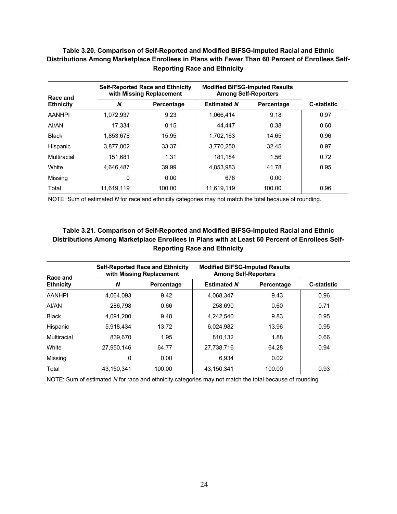| PISUIDUUDIS AINUNG MARGUNAGE LINURGS IN FIANS WILLI EWEL THAN OU FERGHLUI LINURGS JEN-<br><b>Reporting Race and Ethnicity</b> |            |                                                                     |                    |                                                                      |                    |  |  |  |  |
|-------------------------------------------------------------------------------------------------------------------------------|------------|---------------------------------------------------------------------|--------------------|----------------------------------------------------------------------|--------------------|--|--|--|--|
| Race and                                                                                                                      |            | <b>Self-Reported Race and Ethnicity</b><br>with Missing Replacement |                    | <b>Modified BIFSG-Imputed Results</b><br><b>Among Self-Reporters</b> |                    |  |  |  |  |
| <b>Ethnicity</b>                                                                                                              | N          | Percentage                                                          | <b>Estimated N</b> | Percentage                                                           | <b>C-statistic</b> |  |  |  |  |
| <b>AANHPI</b>                                                                                                                 | 1,072,937  | 9.23                                                                | 1,066,414          | 9.18                                                                 | 0.97               |  |  |  |  |
| AI/AN                                                                                                                         | 17,334     | 0.15                                                                | 44.447             | 0.38                                                                 | 0.60               |  |  |  |  |
| <b>Black</b>                                                                                                                  | 1.853.678  | 15.95                                                               | 1.702.163          | 14.65                                                                | 0.96               |  |  |  |  |
| Hispanic                                                                                                                      | 3.877.002  | 33.37                                                               | 3.770.250          | 32.45                                                                | 0.97               |  |  |  |  |
| Multiracial                                                                                                                   | 151.681    | 1.31                                                                | 181.184            | 1.56                                                                 | 0.72               |  |  |  |  |
| White                                                                                                                         | 4,646,487  | 39.99                                                               | 4,853,983          | 41.78                                                                | 0.95               |  |  |  |  |
| Missing                                                                                                                       | 0          | 0.00                                                                | 678                | 0.00                                                                 |                    |  |  |  |  |
| Total                                                                                                                         | 11.619.119 | 100.00                                                              | 11.619.119         | 100.00                                                               | 0.96               |  |  |  |  |

# **Table 3.20. Comparison of Self-Reported and Modified BIFSG-Imputed Racial and Ethnic Distributions Among Marketplace Enrollees in Plans with Fewer Than 60 Percent of Enrollees Self-**

NOTE: Sum of estimated *N* for race and ethnicity categories may not match the total because of rounding.

### **Table 3.21. Comparison of Self-Reported and Modified BIFSG-Imputed Racial and Ethnic Distributions Among Marketplace Enrollees in Plans with at Least 60 Percent of Enrollees Self-Reporting Race and Ethnicity**

| Race and         |            | <b>Self-Reported Race and Ethnicity</b><br>with Missing Replacement |                    | <b>Modified BIFSG-Imputed Results</b><br><b>Among Self-Reporters</b> |                    |  |
|------------------|------------|---------------------------------------------------------------------|--------------------|----------------------------------------------------------------------|--------------------|--|
| <b>Ethnicity</b> | N          | Percentage                                                          | <b>Estimated N</b> | Percentage                                                           | <b>C-statistic</b> |  |
| <b>AANHPI</b>    | 4.064.093  | 9.42                                                                | 4.068.347          | 9.43                                                                 | 0.96               |  |
| AI/AN            | 286.798    | 0.66                                                                | 258,690            | 0.60                                                                 | 0.71               |  |
| <b>Black</b>     | 4.091.200  | 9.48                                                                | 4.242.540          | 9.83                                                                 | 0.95               |  |
| Hispanic         | 5.918.434  | 13.72                                                               | 6.024.982          | 13.96                                                                | 0.95               |  |
| Multiracial      | 839,670    | 1.95                                                                | 810.132            | 1.88                                                                 | 0.66               |  |
| White            | 27.950.146 | 64.77                                                               | 27.738.716         | 64.28                                                                | 0.94               |  |
| Missing          | 0          | 0.00                                                                | 6.934              | 0.02                                                                 |                    |  |
| Total            | 43,150,341 | 100.00                                                              | 43,150,341         | 100.00                                                               | 0.93               |  |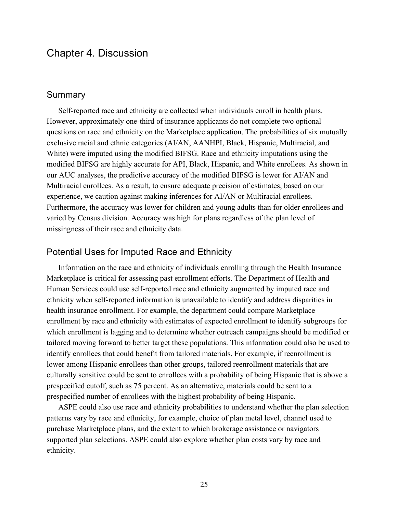### **Summary**

Self-reported race and ethnicity are collected when individuals enroll in health plans. However, approximately one-third of insurance applicants do not complete two optional questions on race and ethnicity on the Marketplace application. The probabilities of six mutually exclusive racial and ethnic categories (AI/AN, AANHPI, Black, Hispanic, Multiracial, and White) were imputed using the modified BIFSG. Race and ethnicity imputations using the modified BIFSG are highly accurate for API, Black, Hispanic, and White enrollees. As shown in our AUC analyses, the predictive accuracy of the modified BIFSG is lower for AI/AN and Multiracial enrollees. As a result, to ensure adequate precision of estimates, based on our experience, we caution against making inferences for AI/AN or Multiracial enrollees. Furthermore, the accuracy was lower for children and young adults than for older enrollees and varied by Census division. Accuracy was high for plans regardless of the plan level of missingness of their race and ethnicity data.

# Potential Uses for Imputed Race and Ethnicity

Information on the race and ethnicity of individuals enrolling through the Health Insurance Marketplace is critical for assessing past enrollment efforts. The Department of Health and Human Services could use self-reported race and ethnicity augmented by imputed race and ethnicity when self-reported information is unavailable to identify and address disparities in health insurance enrollment. For example, the department could compare Marketplace enrollment by race and ethnicity with estimates of expected enrollment to identify subgroups for which enrollment is lagging and to determine whether outreach campaigns should be modified or tailored moving forward to better target these populations. This information could also be used to identify enrollees that could benefit from tailored materials. For example, if reenrollment is lower among Hispanic enrollees than other groups, tailored reenrollment materials that are culturally sensitive could be sent to enrollees with a probability of being Hispanic that is above a prespecified cutoff, such as 75 percent. As an alternative, materials could be sent to a prespecified number of enrollees with the highest probability of being Hispanic.

ASPE could also use race and ethnicity probabilities to understand whether the plan selection patterns vary by race and ethnicity, for example, choice of plan metal level, channel used to purchase Marketplace plans, and the extent to which brokerage assistance or navigators supported plan selections. ASPE could also explore whether plan costs vary by race and ethnicity.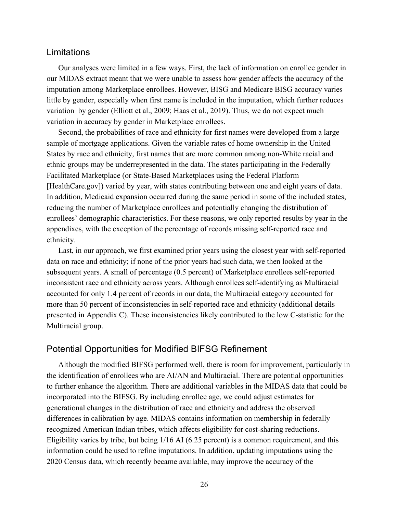# Limitations

Our analyses were limited in a few ways. First, the lack of information on enrollee gender in our MIDAS extract meant that we were unable to assess how gender affects the accuracy of the imputation among Marketplace enrollees. However, BISG and Medicare BISG accuracy varies little by gender, especially when first name is included in the imputation, which further reduces variation by gender (Elliott et al., 2009; Haas et al., 2019). Thus, we do not expect much variation in accuracy by gender in Marketplace enrollees.

Second, the probabilities of race and ethnicity for first names were developed from a large sample of mortgage applications. Given the variable rates of home ownership in the United States by race and ethnicity, first names that are more common among non-White racial and ethnic groups may be underrepresented in the data. The states participating in the Federally Facilitated Marketplace (or State-Based Marketplaces using the Federal Platform [[HealthCare.gov\]](http://HealthCare.gov)) varied by year, with states contributing between one and eight years of data. In addition, Medicaid expansion occurred during the same period in some of the included states, reducing the number of Marketplace enrollees and potentially changing the distribution of enrollees' demographic characteristics. For these reasons, we only reported results by year in the appendixes, with the exception of the percentage of records missing self-reported race and ethnicity.

Last, in our approach, we first examined prior years using the closest year with self-reported data on race and ethnicity; if none of the prior years had such data, we then looked at the subsequent years. A small of percentage (0.5 percent) of Marketplace enrollees self-reported inconsistent race and ethnicity across years. Although enrollees self-identifying as Multiracial accounted for only 1.4 percent of records in our data, the Multiracial category accounted for more than 50 percent of inconsistencies in self-reported race and ethnicity (additional details presented in Appendix C). These inconsistencies likely contributed to the low C-statistic for the Multiracial group.

# Potential Opportunities for Modified BIFSG Refinement

Although the modified BIFSG performed well, there is room for improvement, particularly in the identification of enrollees who are AI/AN and Multiracial. There are potential opportunities to further enhance the algorithm. There are additional variables in the MIDAS data that could be incorporated into the BIFSG. By including enrollee age, we could adjust estimates for generational changes in the distribution of race and ethnicity and address the observed differences in calibration by age. MIDAS contains information on membership in federally recognized American Indian tribes, which affects eligibility for cost-sharing reductions. Eligibility varies by tribe, but being 1/16 AI (6.25 percent) is a common requirement, and this information could be used to refine imputations. In addition, updating imputations using the 2020 Census data, which recently became available, may improve the accuracy of the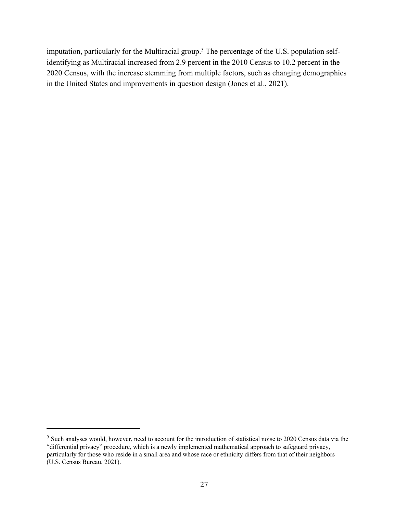imputation, particularly for the Multiracial group.<sup>5</sup> The percentage of the U.S. population selfidentifying as Multiracial increased from 2.9 percent in the 2010 Census to 10.2 percent in the 2020 Census, with the increase stemming from multiple factors, such as changing demographics in the United States and improvements in question design (Jones et al., 2021).

<sup>5</sup> Such analyses would, however, need to account for the introduction of statistical noise to 2020 Census data via the "differential privacy" procedure, which is a newly implemented mathematical approach to safeguard privacy, particularly for those who reside in a small area and whose race or ethnicity differs from that of their neighbors (U.S. Census Bureau, 2021).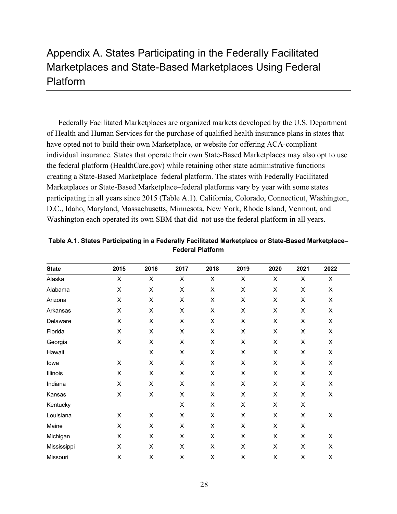# Appendix A. States Participating in the Federally Facilitated Marketplaces and State-Based Marketplaces Using Federal Platform

Federally Facilitated Marketplaces are organized markets developed by the U.S. Department of Health and Human Services for the purchase of qualified health insurance plans in states that have opted not to build their own Marketplace, or website for offering ACA-compliant individual insurance. States that operate their own State-Based Marketplaces may also opt to use the federal platform [\(HealthCare.gov\)](http://HealthCare.gov) while retaining other state administrative functions creating a State-Based Marketplace–federal platform. The states with Federally Facilitated Marketplaces or State-Based Marketplace–federal platforms vary by year with some states participating in all years since 2015 (Table A.1). California, Colorado, Connecticut, Washington, D.C., Idaho, Maryland, Massachusetts, Minnesota, New York, Rhode Island, Vermont, and Washington each operated its own SBM that did not use the federal platform in all years.

| <b>State</b> | 2015           | 2016                      | 2017 | 2018           | 2019           | 2020 | 2021           | 2022           |
|--------------|----------------|---------------------------|------|----------------|----------------|------|----------------|----------------|
| Alaska       | $\mathsf X$    | $\boldsymbol{\mathsf{X}}$ | X    | $\pmb{\times}$ | $\pmb{\times}$ | X    | $\pmb{\times}$ | $\pmb{\times}$ |
| Alabama      | X              | $\mathsf X$               | X    | $\mathsf X$    | Χ              | X    | X              | Χ              |
| Arizona      | $\sf X$        | $\mathsf X$               | X    | X              | Χ              | X    | X              | X              |
| Arkansas     | X              | X                         | X    | X              | X              | X    | X              | X              |
| Delaware     | $\mathsf X$    | $\pmb{\times}$            | X    | X              | $\mathsf X$    | Χ    | X              | Χ              |
| Florida      | $\sf X$        | X                         | X    | $\mathsf X$    | Χ              | X    | X              | Χ              |
| Georgia      | $\sf X$        | $\pmb{\times}$            | X    | X              | X              | X    | X              | X              |
| Hawaii       |                | $\pmb{\times}$            | X    | $\pmb{\times}$ | X              | X    | X              | X              |
| lowa         | X              | X                         | X    | X              | X              | X    | X              | X              |
| Illinois     | X              | X                         | X    | $\pmb{\times}$ | Χ              | X    | X              | Χ              |
| Indiana      | $\pmb{\times}$ | X                         | X    | X              | X              | X    | X              | X              |
| Kansas       | X              | X                         | X    | X              | X              | X    | X              | Χ              |
| Kentucky     |                |                           | X    | $\pmb{\times}$ | X              | X    | X              |                |
| Louisiana    | X              | X                         | X    | X              | X              | X    | X              | X              |
| Maine        | X              | X                         | X    | X              | X              | X    | X              |                |
| Michigan     | X              | X                         | X    | X              | X              | X    | X              | X              |
| Mississippi  | X              | X                         | X    | X              | Χ              | X    | X              | X              |
| Missouri     | Χ              | X                         | X    | X              | Χ              | X    | X              | X              |

**Table A.1. States Participating in a Federally Facilitated Marketplace or State-Based Marketplace– Federal Platform**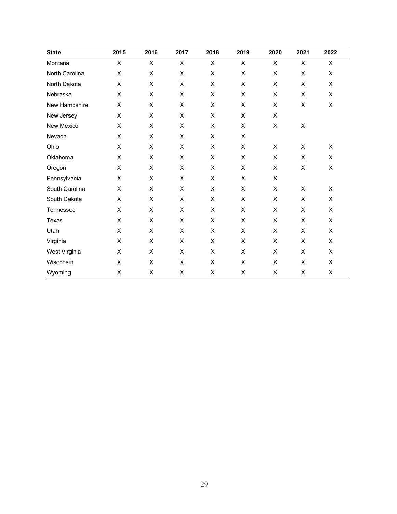| <b>State</b>   | 2015 | 2016 | 2017 | 2018           | 2019               | 2020           | 2021                      | 2022           |
|----------------|------|------|------|----------------|--------------------|----------------|---------------------------|----------------|
| Montana        | X    | X    | X    | X              | X                  | X              | X                         | X              |
| North Carolina | X    | X    | X    | X              | X                  | X              | X                         | X              |
| North Dakota   | X    | X    | X    | X              | X                  | X              | $\pmb{\times}$            | X              |
| Nebraska       | X    | X    | X    | $\pmb{\times}$ | $\mathsf X$        | $\pmb{\times}$ | X                         | X              |
| New Hampshire  | X    | X    | X    | X              | X                  | X              | X                         | X              |
| New Jersey     | X    | X    | X    | X              | X                  | X              |                           |                |
| New Mexico     | X    | X    | X    | $\mathsf X$    | $\mathsf X$        | $\pmb{\times}$ | $\mathsf X$               |                |
| Nevada         | X    | X    | X    | $\times$       | $\pmb{\times}$     |                |                           |                |
| Ohio           | X    | X    | X    | X              | X                  | X              | X                         | X              |
| Oklahoma       | X    | X    | X    | $\mathsf X$    | $\sf X$            | $\pmb{\times}$ | $\pmb{\times}$            | X              |
| Oregon         | X    | X    | X    | $\mathsf X$    | $\sf X$            | X              | $\sf X$                   | $\mathsf{X}$   |
| Pennsylvania   | X    | X    | X    | $\pmb{\times}$ | $\sf X$            | X              |                           |                |
| South Carolina | X    | X    | X    | $\pmb{\times}$ | X                  | $\pmb{\times}$ | $\boldsymbol{\mathsf{X}}$ | $\pmb{\times}$ |
| South Dakota   | X    | X    | X    | X              | X                  | X              | $\pmb{\times}$            | X              |
| Tennessee      | X    | X    | X    | $\mathsf X$    | X                  | X              | $\mathsf X$               | X              |
| Texas          | X    | X    | X    | $\pmb{\times}$ | $\pmb{\mathsf{X}}$ | X              | $\pmb{\times}$            | X              |
| Utah           | X    | X    | X    | X              | X                  | X              | X                         | X              |
| Virginia       | X    | X    | X    | X              | X                  | X              | X                         | X              |
| West Virginia  | X    | X    | X    | X              | $\pmb{\times}$     | X              | $\pmb{\times}$            | X              |
| Wisconsin      | X    | X    | X    | $\pmb{\times}$ | X                  | X              | X                         | X              |
| Wyoming        | X    | X    | X    | $\pmb{\times}$ | X                  | X              | X                         | X              |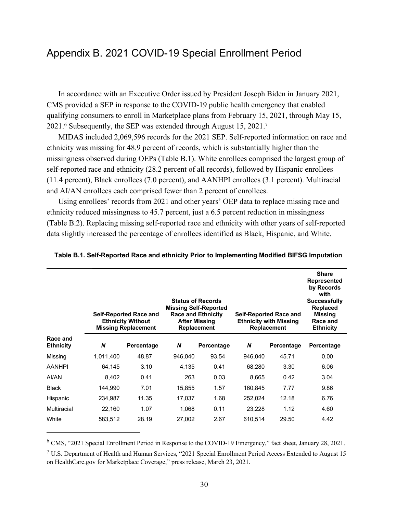In accordance with an Executive Order issued by President Joseph Biden in January 2021, CMS provided a SEP in response to the COVID-19 public health emergency that enabled qualifying consumers to enroll in Marketplace plans from February 15, 2021, through May 15, 2021.<sup>6</sup> Subsequently, the SEP was extended through August 15, 2021.<sup>7</sup>

MIDAS included 2,069,596 records for the 2021 SEP. Self-reported information on race and ethnicity was missing for 48.9 percent of records, which is substantially higher than the missingness observed during OEPs (Table B.1). White enrollees comprised the largest group of self-reported race and ethnicity (28.2 percent of all records), followed by Hispanic enrollees (11.4 percent), Black enrollees (7.0 percent), and AANHPI enrollees (3.1 percent). Multiracial and AI/AN enrollees each comprised fewer than 2 percent of enrollees.

Using enrollees' records from 2021 and other years' OEP data to replace missing race and ethnicity reduced missingness to 45.7 percent, just a 6.5 percent reduction in missingness (Table B.2). Replacing missing self-reported race and ethnicity with other years of self-reported data slightly increased the percentage of enrollees identified as Black, Hispanic, and White.

|                              |           | <b>Self-Reported Race and</b><br><b>Ethnicity Without</b><br><b>Missing Replacement</b> |         | <b>Status of Records</b><br><b>Missing Self-Reported</b><br><b>Race and Ethnicity</b><br><b>After Missing</b><br><b>Replacement</b> |         | <b>Self-Reported Race and</b><br><b>Ethnicity with Missing</b><br><b>Replacement</b> | <b>Share</b><br><b>Represented</b><br>by Records<br>with<br><b>Successfully</b><br><b>Replaced</b><br><b>Missing</b><br>Race and<br><b>Ethnicity</b> |
|------------------------------|-----------|-----------------------------------------------------------------------------------------|---------|-------------------------------------------------------------------------------------------------------------------------------------|---------|--------------------------------------------------------------------------------------|------------------------------------------------------------------------------------------------------------------------------------------------------|
| Race and<br><b>Ethnicity</b> | N         | Percentage                                                                              | N       | Percentage                                                                                                                          | N       | Percentage                                                                           | Percentage                                                                                                                                           |
| Missing                      | 1,011,400 | 48.87                                                                                   | 946,040 | 93.54                                                                                                                               | 946,040 | 45.71                                                                                | 0.00                                                                                                                                                 |
| <b>AANHPI</b>                | 64,145    | 3.10                                                                                    | 4,135   | 0.41                                                                                                                                | 68,280  | 3.30                                                                                 | 6.06                                                                                                                                                 |
| AI/AN                        | 8,402     | 0.41                                                                                    | 263     | 0.03                                                                                                                                | 8,665   | 0.42                                                                                 | 3.04                                                                                                                                                 |
| <b>Black</b>                 | 144,990   | 7.01                                                                                    | 15,855  | 1.57                                                                                                                                | 160,845 | 7.77                                                                                 | 9.86                                                                                                                                                 |
| Hispanic                     | 234,987   | 11.35                                                                                   | 17,037  | 1.68                                                                                                                                | 252,024 | 12.18                                                                                | 6.76                                                                                                                                                 |
| Multiracial                  | 22,160    | 1.07                                                                                    | 1,068   | 0.11                                                                                                                                | 23,228  | 1.12                                                                                 | 4.60                                                                                                                                                 |
| White                        | 583,512   | 28.19                                                                                   | 27,002  | 2.67                                                                                                                                | 610,514 | 29.50                                                                                | 4.42                                                                                                                                                 |

**Table B.1. Self-Reported Race and ethnicity Prior to Implementing Modified BIFSG Imputation**

<sup>6</sup> CMS, "2021 Special Enrollment Period in Response to the COVID-19 Emergency," fact sheet, January 28, 2021.

<sup>&</sup>lt;sup>7</sup> U.S. Department of Health and Human Services, "2021 Special Enrollment Period Access Extended to August 15 on [HealthCare.gov](http://HealthCare.gov) for Marketplace Coverage," press release, March 23, 2021.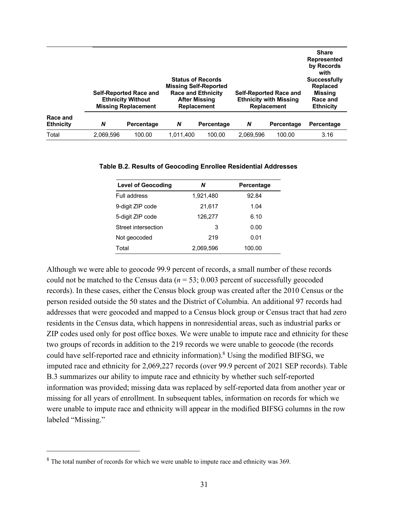|                              |           | <b>Self-Reported Race and</b><br><b>Ethnicity Without</b><br><b>Missing Replacement</b> |           | <b>Status of Records</b><br><b>Missing Self-Reported</b><br><b>Race and Ethnicity</b><br><b>After Missing</b><br><b>Replacement</b> |           | <b>Self-Reported Race and</b><br><b>Ethnicity with Missing</b><br><b>Replacement</b> | <b>Share</b><br>Represented<br>by Records<br>with<br><b>Successfully</b><br><b>Replaced</b><br>Missing<br>Race and<br><b>Ethnicity</b> |
|------------------------------|-----------|-----------------------------------------------------------------------------------------|-----------|-------------------------------------------------------------------------------------------------------------------------------------|-----------|--------------------------------------------------------------------------------------|----------------------------------------------------------------------------------------------------------------------------------------|
| Race and<br><b>Ethnicity</b> | N         | Percentage                                                                              | N         | Percentage                                                                                                                          | N         | Percentage                                                                           | Percentage                                                                                                                             |
| Total                        | 2,069,596 | 100.00                                                                                  | 1,011,400 | 100.00                                                                                                                              | 2,069,596 | 100.00                                                                               | 3.16                                                                                                                                   |

| <b>Level of Geocoding</b> | N         | Percentage |
|---------------------------|-----------|------------|
| Full address              | 1,921,480 | 92.84      |
| 9-digit ZIP code          | 21,617    | 1.04       |
| 5-digit ZIP code          | 126,277   | 6.10       |
| Street intersection       | 3         | 0.00       |
| Not geocoded              | 219       | 0.01       |
| Total                     | 2,069,596 | 100.00     |

#### **Table B.2. Results of Geocoding Enrollee Residential Addresses**

Although we were able to geocode 99.9 percent of records, a small number of these records could not be matched to the Census data  $(n = 53; 0.003$  percent of successfully geocoded records). In these cases, either the Census block group was created after the 2010 Census or the person resided outside the 50 states and the District of Columbia. An additional 97 records had addresses that were geocoded and mapped to a Census block group or Census tract that had zero residents in the Census data, which happens in nonresidential areas, such as industrial parks or ZIP codes used only for post office boxes. We were unable to impute race and ethnicity for these two groups of records in addition to the 219 records we were unable to geocode (the records could have self-reported race and ethnicity information).8 Using the modified BIFSG, we imputed race and ethnicity for 2,069,227 records (over 99.9 percent of 2021 SEP records). Table B.3 summarizes our ability to impute race and ethnicity by whether such self-reported information was provided; missing data was replaced by self-reported data from another year or missing for all years of enrollment. In subsequent tables, information on records for which we were unable to impute race and ethnicity will appear in the modified BIFSG columns in the row labeled "Missing."

<sup>&</sup>lt;sup>8</sup> The total number of records for which we were unable to impute race and ethnicity was 369.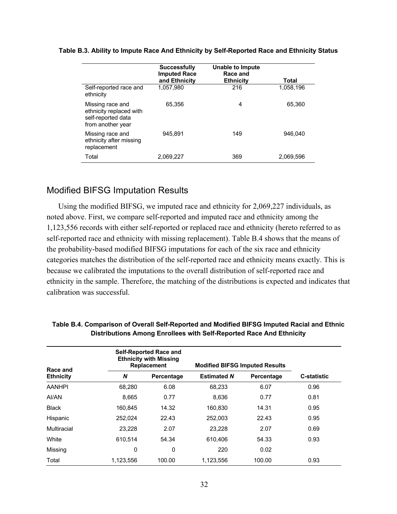|                                                                                        | <b>Successfully</b><br><b>Imputed Race</b><br>and Ethnicity | Unable to Impute<br>Race and<br><b>Ethnicity</b> | Total     |
|----------------------------------------------------------------------------------------|-------------------------------------------------------------|--------------------------------------------------|-----------|
| Self-reported race and<br>ethnicity                                                    | 1.057.980                                                   | 216                                              | 1,058,196 |
| Missing race and<br>ethnicity replaced with<br>self-reported data<br>from another year | 65.356                                                      | 4                                                | 65.360    |
| Missing race and<br>ethnicity after missing<br>replacement                             | 945.891                                                     | 149                                              | 946.040   |
| Total                                                                                  | 2.069.227                                                   | 369                                              | 2,069,596 |

#### **Table B.3. Ability to Impute Race And Ethnicity by Self-Reported Race and Ethnicity Status**

# Modified BIFSG Imputation Results

Using the modified BIFSG, we imputed race and ethnicity for 2,069,227 individuals, as noted above. First, we compare self-reported and imputed race and ethnicity among the 1,123,556 records with either self-reported or replaced race and ethnicity (hereto referred to as self-reported race and ethnicity with missing replacement). Table B.4 shows that the means of the probability-based modified BIFSG imputations for each of the six race and ethnicity categories matches the distribution of the self-reported race and ethnicity means exactly. This is because we calibrated the imputations to the overall distribution of self-reported race and ethnicity in the sample. Therefore, the matching of the distributions is expected and indicates that calibration was successful.

| Race and         |           | <b>Self-Reported Race and</b><br><b>Ethnicity with Missing</b><br><b>Replacement</b> | <b>Modified BIFSG Imputed Results</b> |            |                    |
|------------------|-----------|--------------------------------------------------------------------------------------|---------------------------------------|------------|--------------------|
| <b>Ethnicity</b> | N         | Percentage                                                                           | <b>Estimated N</b>                    | Percentage | <b>C-statistic</b> |
| <b>AANHPI</b>    | 68.280    | 6.08                                                                                 | 68.233                                | 6.07       | 0.96               |
| AI/AN            | 8.665     | 0.77                                                                                 | 8,636                                 | 0.77       | 0.81               |
| <b>Black</b>     | 160,845   | 14.32                                                                                | 160,830                               | 14.31      | 0.95               |
| Hispanic         | 252,024   | 22.43                                                                                | 252,003                               | 22.43      | 0.95               |
| Multiracial      | 23,228    | 2.07                                                                                 | 23,228                                | 2.07       | 0.69               |
| White            | 610,514   | 54.34                                                                                | 610.406                               | 54.33      | 0.93               |
| Missing          | 0         | 0                                                                                    | 220                                   | 0.02       |                    |
| Total            | 1.123.556 | 100.00                                                                               | 1.123.556                             | 100.00     | 0.93               |

| Table B.4. Comparison of Overall Self-Reported and Modified BIFSG Imputed Racial and Ethnic |
|---------------------------------------------------------------------------------------------|
| Distributions Among Enrollees with Self-Reported Race And Ethnicity                         |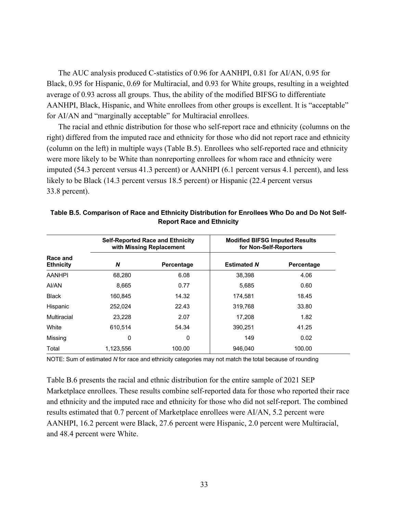The AUC analysis produced C-statistics of 0.96 for AANHPI, 0.81 for AI/AN, 0.95 for Black, 0.95 for Hispanic, 0.69 for Multiracial, and 0.93 for White groups, resulting in a weighted average of 0.93 across all groups. Thus, the ability of the modified BIFSG to differentiate AANHPI, Black, Hispanic, and White enrollees from other groups is excellent. It is "acceptable" for AI/AN and "marginally acceptable" for Multiracial enrollees.

The racial and ethnic distribution for those who self-report race and ethnicity (columns on the right) differed from the imputed race and ethnicity for those who did not report race and ethnicity (column on the left) in multiple ways (Table B.5). Enrollees who self-reported race and ethnicity were more likely to be White than nonreporting enrollees for whom race and ethnicity were imputed (54.3 percent versus 41.3 percent) or AANHPI (6.1 percent versus 4.1 percent), and less likely to be Black (14.3 percent versus 18.5 percent) or Hispanic (22.4 percent versus 33.8 percent).

|                              |           | <b>Self-Reported Race and Ethnicity</b><br>with Missing Replacement | <b>Modified BIFSG Imputed Results</b><br>for Non-Self-Reporters |            |  |  |  |
|------------------------------|-----------|---------------------------------------------------------------------|-----------------------------------------------------------------|------------|--|--|--|
| Race and<br><b>Ethnicity</b> | N         | Percentage                                                          | <b>Estimated N</b>                                              | Percentage |  |  |  |
| <b>AANHPI</b>                | 68.280    | 6.08                                                                | 38.398                                                          | 4.06       |  |  |  |
| AI/AN                        | 8.665     | 0.77                                                                | 5.685                                                           | 0.60       |  |  |  |
| <b>Black</b>                 | 160.845   | 14.32                                                               | 174.581                                                         | 18.45      |  |  |  |
| Hispanic                     | 252.024   | 22.43                                                               | 319.768                                                         | 33.80      |  |  |  |
| Multiracial                  | 23.228    | 2.07                                                                | 17,208                                                          | 1.82       |  |  |  |
| White                        | 610.514   | 54.34                                                               | 390.251                                                         | 41.25      |  |  |  |
| Missing                      | 0         | 0                                                                   | 149                                                             | 0.02       |  |  |  |
| Total                        | 1,123,556 | 100.00                                                              | 946.040                                                         | 100.00     |  |  |  |

#### **Table B.5. Comparison of Race and Ethnicity Distribution for Enrollees Who Do and Do Not Self-Report Race and Ethnicity**

NOTE: Sum of estimated *N* for race and ethnicity categories may not match the total because of rounding

Table B.6 presents the racial and ethnic distribution for the entire sample of 2021 SEP Marketplace enrollees. These results combine self-reported data for those who reported their race and ethnicity and the imputed race and ethnicity for those who did not self-report. The combined results estimated that 0.7 percent of Marketplace enrollees were AI/AN, 5.2 percent were AANHPI, 16.2 percent were Black, 27.6 percent were Hispanic, 2.0 percent were Multiracial, and 48.4 percent were White.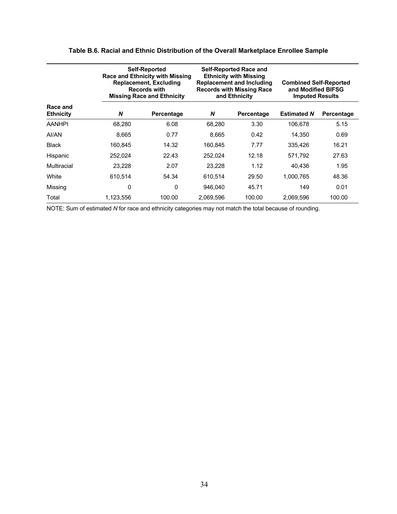|                              |           | <b>Self-Reported</b><br><b>Race and Ethnicity with Missing</b><br><b>Replacement, Excluding</b><br><b>Records with</b><br><b>Missing Race and Ethnicity</b> |           | <b>Self-Reported Race and</b><br><b>Ethnicity with Missing</b><br><b>Replacement and Including</b><br><b>Records with Missing Race</b><br>and Ethnicity | <b>Combined Self-Reported</b><br>and Modified BIFSG<br><b>Imputed Results</b> |            |  |
|------------------------------|-----------|-------------------------------------------------------------------------------------------------------------------------------------------------------------|-----------|---------------------------------------------------------------------------------------------------------------------------------------------------------|-------------------------------------------------------------------------------|------------|--|
| Race and<br><b>Ethnicity</b> | N         | Percentage                                                                                                                                                  | N         | Percentage                                                                                                                                              | <b>Estimated N</b>                                                            | Percentage |  |
| <b>AANHPI</b>                | 68,280    | 6.08                                                                                                                                                        | 68,280    | 3.30                                                                                                                                                    | 106,678                                                                       | 5.15       |  |
| AI/AN                        | 8.665     | 0.77                                                                                                                                                        | 8.665     | 0.42                                                                                                                                                    | 14,350                                                                        | 0.69       |  |
| <b>Black</b>                 | 160.845   | 14.32                                                                                                                                                       | 160.845   | 7.77                                                                                                                                                    | 335.426                                                                       | 16.21      |  |
| Hispanic                     | 252,024   | 22.43                                                                                                                                                       | 252,024   | 12.18                                                                                                                                                   | 571,792                                                                       | 27.63      |  |
| Multiracial                  | 23,228    | 2.07                                                                                                                                                        | 23,228    | 1.12                                                                                                                                                    | 40,436                                                                        | 1.95       |  |
| White                        | 610,514   | 54.34                                                                                                                                                       | 610,514   | 29.50                                                                                                                                                   | 1.000.765                                                                     | 48.36      |  |
| Missing                      | 0         | $\mathbf{0}$                                                                                                                                                | 946.040   | 45.71                                                                                                                                                   | 149                                                                           | 0.01       |  |
| Total                        | 1,123,556 | 100.00                                                                                                                                                      | 2.069.596 | 100.00                                                                                                                                                  | 2.069.596                                                                     | 100.00     |  |

### **Table B.6. Racial and Ethnic Distribution of the Overall Marketplace Enrollee Sample**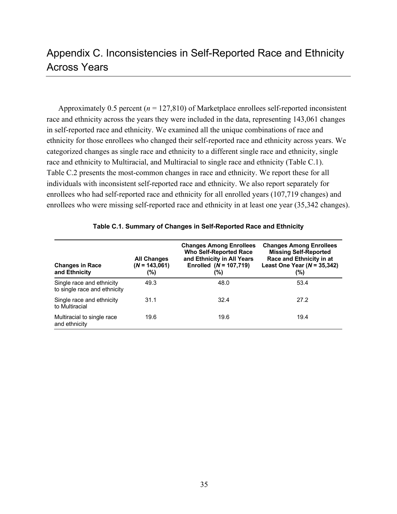# Appendix C. Inconsistencies in Self-Reported Race and Ethnicity Across Years

Approximately 0.5 percent ( $n = 127,810$ ) of Marketplace enrollees self-reported inconsistent race and ethnicity across the years they were included in the data, representing 143,061 changes in self-reported race and ethnicity. We examined all the unique combinations of race and ethnicity for those enrollees who changed their self-reported race and ethnicity across years. We categorized changes as single race and ethnicity to a different single race and ethnicity, single race and ethnicity to Multiracial, and Multiracial to single race and ethnicity (Table C.1). Table C.2 presents the most-common changes in race and ethnicity. We report these for all individuals with inconsistent self-reported race and ethnicity. We also report separately for enrollees who had self-reported race and ethnicity for all enrolled years (107,719 changes) and enrollees who were missing self-reported race and ethnicity in at least one year (35,342 changes).

| <b>Changes in Race</b><br>and Ethnicity                   | <b>All Changes</b><br>$(N = 143.061)$<br>(%) | <b>Changes Among Enrollees</b><br><b>Who Self-Reported Race</b><br>and Ethnicity in All Years<br>Enrolled $(N = 107, 719)$<br>(%) | <b>Changes Among Enrollees</b><br><b>Missing Self-Reported</b><br>Race and Ethnicity in at<br>Least One Year $(N = 35,342)$<br>(%) |
|-----------------------------------------------------------|----------------------------------------------|-----------------------------------------------------------------------------------------------------------------------------------|------------------------------------------------------------------------------------------------------------------------------------|
| Single race and ethnicity<br>to single race and ethnicity | 49.3                                         | 48.0                                                                                                                              | 53.4                                                                                                                               |
| Single race and ethnicity<br>to Multiracial               | 31.1                                         | 32.4                                                                                                                              | 27.2                                                                                                                               |
| Multiracial to single race<br>and ethnicity               | 19.6                                         | 19.6                                                                                                                              | 19.4                                                                                                                               |

|  |  |  | Table C.1. Summary of Changes in Self-Reported Race and Ethnicity |
|--|--|--|-------------------------------------------------------------------|
|--|--|--|-------------------------------------------------------------------|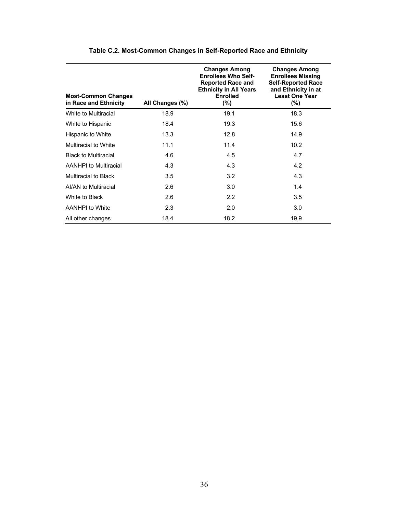| <b>Most-Common Changes</b><br>in Race and Ethnicity | All Changes (%) | <b>Changes Among</b><br><b>Enrollees Who Self-</b><br><b>Reported Race and</b><br><b>Ethnicity in All Years</b><br><b>Enrolled</b><br>$(\% )$ | <b>Changes Among</b><br><b>Enrollees Missing</b><br><b>Self-Reported Race</b><br>and Ethnicity in at<br><b>Least One Year</b><br>$(\%)$ |
|-----------------------------------------------------|-----------------|-----------------------------------------------------------------------------------------------------------------------------------------------|-----------------------------------------------------------------------------------------------------------------------------------------|
| White to Multiracial                                | 18.9            | 19.1                                                                                                                                          | 18.3                                                                                                                                    |
| White to Hispanic                                   | 18.4            | 19.3                                                                                                                                          | 15.6                                                                                                                                    |
| Hispanic to White                                   | 13.3            | 12.8                                                                                                                                          | 14.9                                                                                                                                    |
| Multiracial to White                                | 11.1            | 11.4                                                                                                                                          | 10.2                                                                                                                                    |
| <b>Black to Multiracial</b>                         | 4.6             | 4.5                                                                                                                                           | 4.7                                                                                                                                     |
| AANHPI to Multiracial                               | 4.3             | 4.3                                                                                                                                           | 4.2                                                                                                                                     |
| <b>Multiracial to Black</b>                         | 3.5             | 3.2                                                                                                                                           | 4.3                                                                                                                                     |
| AI/AN to Multiracial                                | 2.6             | 3.0                                                                                                                                           | 1.4                                                                                                                                     |
| White to Black                                      | 2.6             | $2.2^{\circ}$                                                                                                                                 | 3.5                                                                                                                                     |
| AANHPI to White                                     | 2.3             | 2.0                                                                                                                                           | 3.0                                                                                                                                     |
| All other changes                                   | 18.4            | 18.2                                                                                                                                          | 19.9                                                                                                                                    |

### **Table C.2. Most-Common Changes in Self-Reported Race and Ethnicity**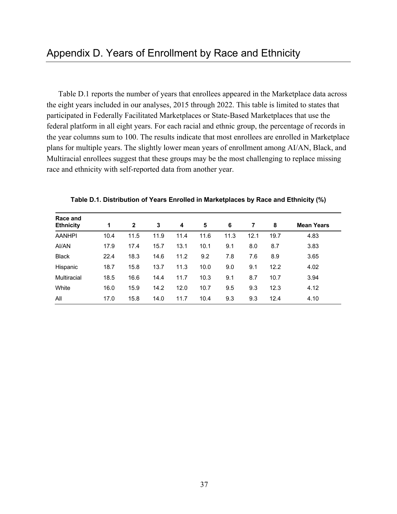Table D.1 reports the number of years that enrollees appeared in the Marketplace data across the eight years included in our analyses, 2015 through 2022. This table is limited to states that participated in Federally Facilitated Marketplaces or State-Based Marketplaces that use the federal platform in all eight years. For each racial and ethnic group, the percentage of records in the year columns sum to 100. The results indicate that most enrollees are enrolled in Marketplace plans for multiple years. The slightly lower mean years of enrollment among AI/AN, Black, and Multiracial enrollees suggest that these groups may be the most challenging to replace missing race and ethnicity with self-reported data from another year.

| Race and         |      |              |      |      |      |      |      |      |                   |
|------------------|------|--------------|------|------|------|------|------|------|-------------------|
| <b>Ethnicity</b> | 1    | $\mathbf{2}$ | 3    | 4    | 5    | 6    | 7    | 8    | <b>Mean Years</b> |
| <b>AANHPI</b>    | 10.4 | 11.5         | 11.9 | 11.4 | 11.6 | 11.3 | 12.1 | 19.7 | 4.83              |
| AI/AN            | 17.9 | 17.4         | 15.7 | 13.1 | 10.1 | 9.1  | 8.0  | 8.7  | 3.83              |
| <b>Black</b>     | 22.4 | 18.3         | 14.6 | 11.2 | 9.2  | 7.8  | 7.6  | 8.9  | 3.65              |
| Hispanic         | 18.7 | 15.8         | 13.7 | 11.3 | 10.0 | 9.0  | 9.1  | 12.2 | 4.02              |
| Multiracial      | 18.5 | 16.6         | 14.4 | 11.7 | 10.3 | 9.1  | 8.7  | 10.7 | 3.94              |
| White            | 16.0 | 15.9         | 14.2 | 12.0 | 10.7 | 9.5  | 9.3  | 12.3 | 4.12              |
| All              | 17.0 | 15.8         | 14.0 | 11.7 | 10.4 | 9.3  | 9.3  | 12.4 | 4.10              |

**Table D.1. Distribution of Years Enrolled in Marketplaces by Race and Ethnicity (%)**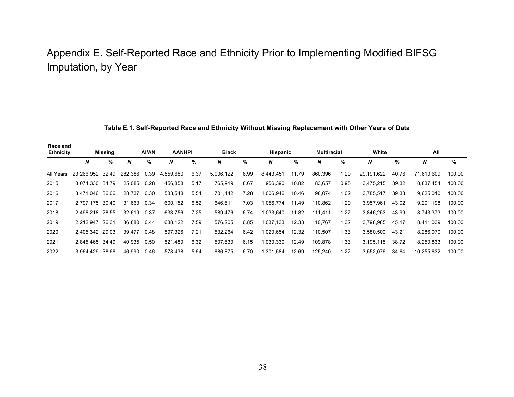# Appendix E. Self-Reported Race and Ethnicity Prior to Implementing Modified BIFSG Imputation, by Year

| Table E.1. Self-Reported Race and Ethnicity Without Missing Replacement with Other Years of Data |
|--------------------------------------------------------------------------------------------------|
|--------------------------------------------------------------------------------------------------|

| Race and<br><b>Ethnicity</b> |                  | <b>Missing</b> |             | <b>AI/AN</b> | <b>AANHPI</b> |      | <b>Black</b> |      | Hispanic  |       | <b>Multiracial</b> |      | White      |       | All        |        |
|------------------------------|------------------|----------------|-------------|--------------|---------------|------|--------------|------|-----------|-------|--------------------|------|------------|-------|------------|--------|
|                              | N                | %              | N           | %            | N             | %    | N            | %    | N         | %     | N                  | %    | N          | %     | N          | %      |
| All Years                    | 23.266.952 32.49 |                | 282.386     | 0.39         | 4,559,680     | 6.37 | 5,006,122    | 6.99 | 8,443,451 | 11.79 | 860,396            | 1.20 | 29.191.622 | 40.76 | 71.610.609 | 100.00 |
| 2015                         | 3,074,330 34.79  |                | 25,085      | 0.28         | 456,858       | 5.17 | 765,919      | 8.67 | 956,390   | 10.82 | 83,657             | 0.95 | 3,475,215  | 39.32 | 8,837,454  | 100.00 |
| 2016                         | 3.471.046 36.06  |                | 28,737      | 0.30         | 533,548       | 5.54 | 701,142      | 7.28 | 1,006,946 | 10.46 | 98,074             | 1.02 | 3,785,517  | 39.33 | 9,625,010  | 100.00 |
| 2017                         | 2,797,175 30.40  |                | 31,663      | 0.34         | 600,152       | 6.52 | 646,611      | 7.03 | 1,056,774 | 11.49 | 110,862            | 1.20 | 3,957,961  | 43.02 | 9,201,198  | 100.00 |
| 2018                         | 2,496,218 28.55  |                | 32.619 0.37 |              | 633.756       | 7.25 | 589,476      | 6.74 | 1.033.640 | 11.82 | 111.411            | 1.27 | 3,846,253  | 43.99 | 8.743.373  | 100.00 |
| 2019                         | 2.212.947        | 26.31          | 36,880      | 0.44         | 638,122       | 7.59 | 576,205      | 6.85 | 1.037.133 | 12.33 | 110,767            | 1.32 | 3.798.985  | 45.17 | 8.411.039  | 100.00 |
| 2020                         | 2,405,342 29.03  |                | 39,477      | 0.48         | 597,326       | 7.21 | 532,264      | 6.42 | 1,020,654 | 12.32 | 110,507            | 1.33 | 3,580,500  | 43.21 | 8,286,070  | 100.00 |
| 2021                         | 2,845,465 34.49  |                | 40,935 0.50 |              | 521,480       | 6.32 | 507,630      | 6.15 | 1,030,330 | 12.49 | 109,878            | 1.33 | 3,195,115  | 38.72 | 8,250,833  | 100.00 |
| 2022                         | 3.964.429 38.66  |                | 46.990      | 0.46         | 578,438       | 5.64 | 686,875      | 6.70 | 1,301,584 | 12.69 | 125,240            | 1.22 | 3,552,076  | 34.64 | 10.255.632 | 100.00 |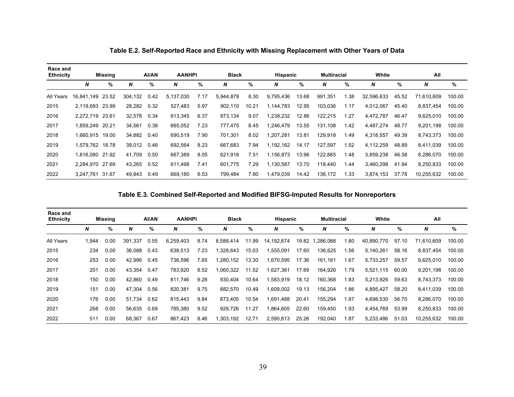| Race and<br><b>Ethnicity</b> |                  | Missing |             | <b>AI/AN</b> | <b>AANHPI</b> |      | <b>Black</b> |       | <b>Hispanic</b> |       | <b>Multiracial</b> |      | White      |       | All        |        |
|------------------------------|------------------|---------|-------------|--------------|---------------|------|--------------|-------|-----------------|-------|--------------------|------|------------|-------|------------|--------|
|                              | N                | %       | N           | %            | N             | %    | N            | %     | N               | %     | N                  | %    | N          | %     | N          | %      |
| All Years                    | 16,841,149 23.52 |         | 304,132     | 0.42         | 5,137,030     | 7.17 | 5,944,878    | 8.30  | 9,795,436       | 13.68 | 991,351            | 1.38 | 32,596,633 | 45.52 | 71,610,609 | 100.00 |
| 2015                         | 2,119,693 23.99  |         | 28,282 0.32 |              | 527,483       | 5.97 | 902,110      | 10.21 | 1,144,783       | 12.95 | 103,036            | 1.17 | 4,012,067  | 45.40 | 8.837.454  | 100.00 |
| 2016                         | 2.272.719 23.61  |         | 32,578      | 0.34         | 613,345       | 6.37 | 873,134      | 9.07  | .238.232        | 12.86 | 122,215            | 1.27 | 4,472,787  | 46.47 | 9,625,010  | 100.00 |
| 2017                         | 1,859,249 20.21  |         | 34.561      | 0.38         | 665,052       | 7.23 | 777.475      | 8.45  | .246,479        | 13.55 | 131,108            | 1.42 | 4,487,274  | 48.77 | 9,201,198  | 100.00 |
| 2018                         | 1,660,915 19.00  |         | 34,882      | 0.40         | 690,519       | 7.90 | 701,301      | 8.02  | ,207,281        | 13.81 | 129,918            | 1.49 | 4,318,557  | 49.39 | 8,743,373  | 100.00 |
| 2019                         | 1,579,762 18.78  |         | 39,012 0.46 |              | 692,564       | 8.23 | 667,683      | 7.94  | 1,192,162       | 14.17 | 127,597            | 1.52 | 4,112,259  | 48.89 | 8,411,039  | 100.00 |
| 2020                         | 1,816,080 21.92  |         | 41,709      | 0.50         | 667,389       | 8.05 | 621,916      | 7.51  | 1,156,873       | 13.96 | 122,865            | 1.48 | 3,859,238  | 46.58 | 8,286,070  | 100.00 |
| 2021                         | 2.284.970 27.69  |         | 43.265 0.52 |              | 611.498       | 7.41 | 601.775      | 7.29  | 1,130,587       | 13.70 | 118.440            | 1.44 | 3.460.298  | 41.94 | 8.250.833  | 100.00 |
| 2022                         | 3,247,761        | 31.67   | 49.843      | 0.49         | 669,180       | 6.53 | 799.484      | 7.80  | 479,039.        | 14.42 | 136,172            | 1.33 | 3,874,153  | 37.78 | 10,255,632 | 100.00 |

**Table E.2. Self-Reported Race and Ethnicity with Missing Replacement with Other Years of Data**

**Table E.3. Combined Self-Reported and Modified BIFSG-Imputed Results for Nonreporters**

| Race and<br><b>Ethnicity</b> |      | Missing |         | AI/AN | <b>AANHPI</b> |      | <b>Black</b> |       | <b>Hispanic</b> |       | <b>Multiracial</b> |      | White      |       | All        |        |
|------------------------------|------|---------|---------|-------|---------------|------|--------------|-------|-----------------|-------|--------------------|------|------------|-------|------------|--------|
|                              | N    | %       | N       | %     | N             | %    | N            | %     | N               | %     | N                  | %    | N          | %     | N          | %      |
| All Years                    | .944 | 0.00    | 391.337 | 0.55  | 6,259,403     | 8.74 | 8.588.414    | 11.99 | 14,192,674      | 19.82 | 1,286,066          | 1.80 | 40.890.770 | 57.10 | 71.610.609 | 100.00 |
| 2015                         | 234  | 0.00    | 38,088  | 0.43  | 638,513       | 7.23 | 1,328,643    | 15.03 | 1,555,091       | 17.60 | 136,625            | 1.56 | 5,140,261  | 58.16 | 8,837,454  | 100.00 |
| 2016                         | 253  | 0.00    | 42,996  | 0.45  | 736,596       | 7.65 | 1,280,152    | 13.30 | 1,670,595       | 17.36 | 161,161            | 1.67 | 5,733,257  | 59.57 | 9,625,010  | 100.00 |
| 2017                         | 201  | 0.00    | 43.354  | 0.47  | 783,920       | 8.52 | 1.060.322    | 11.52 | 1,627,361       | 17.69 | 164.926            | 1.79 | 5.521.115  | 60.00 | 9.201.198  | 100.00 |
| 2018                         | 150  | 0.00    | 42.860  | 0.49  | 811,746       | 9.28 | 930.404      | 10.64 | 1,583,919       | 18.12 | 160,368            | 1.83 | 5,213,926  | 59.63 | 8,743,373  | 100.00 |
| 2019                         | 151  | 0.00    | 47,304  | 0.56  | 820,381       | 9.75 | 882,570      | 10.49 | 1,609,002       | 19.13 | 156,204            | 1.86 | 4,895,427  | 58.20 | 8,411,039  | 100.00 |
| 2020                         | 176  | 0.00    | 51,734  | 0.62  | 815,443       | 9.84 | 873.405      | 10.54 | 1,691,488       | 20.41 | 155,294            | 1.87 | 4.698.530  | 56.70 | 8.286.070  | 100.00 |
| 2021                         | 268  | 0.00    | 56.635  | 0.69  | 785.380       | 9.52 | 929.726      | 11.27 | 1.864.605       | 22.60 | 159,450            | 1.93 | 4.454.769  | 53.99 | 8.250.833  | 100.00 |
| 2022                         | 511  | 0.00    | 68.367  | 0.67  | 867,423       | 8.46 | 1.303.192    | 12.71 | 2,590,613       | 25.26 | 192.040            | 1.87 | 5.233.486  | 51.03 | 10.255.632 | 100.00 |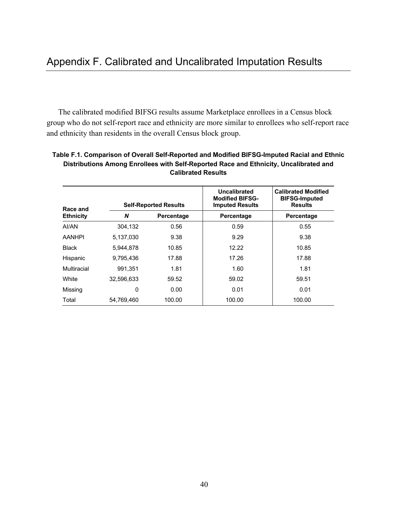The calibrated modified BIFSG results assume Marketplace enrollees in a Census block group who do not self-report race and ethnicity are more similar to enrollees who self-report race and ethnicity than residents in the overall Census block group.

| Race and         |            | <b>Self-Reported Results</b> | <b>Uncalibrated</b><br><b>Modified BIFSG-</b><br><b>Imputed Results</b> | <b>Calibrated Modified</b><br><b>BIFSG-Imputed</b><br><b>Results</b> |
|------------------|------------|------------------------------|-------------------------------------------------------------------------|----------------------------------------------------------------------|
| <b>Ethnicity</b> | N          | Percentage                   | Percentage                                                              | Percentage                                                           |
| AI/AN            | 304.132    | 0.56                         | 0.59                                                                    | 0.55                                                                 |
| <b>AANHPI</b>    | 5,137,030  | 9.38                         | 9.29                                                                    | 9.38                                                                 |
| <b>Black</b>     | 5.944.878  | 10.85                        | 12.22                                                                   | 10.85                                                                |
| Hispanic         | 9.795.436  | 17.88                        | 17.26                                                                   | 17.88                                                                |
| Multiracial      | 991.351    | 1.81                         | 1.60                                                                    | 1.81                                                                 |
| White            | 32,596,633 | 59.52                        | 59.02                                                                   | 59.51                                                                |
| Missing          | 0          | 0.00                         | 0.01                                                                    | 0.01                                                                 |
| Total            | 54.769.460 | 100.00                       | 100.00                                                                  | 100.00                                                               |

### **Table F.1. Comparison of Overall Self-Reported and Modified BIFSG-Imputed Racial and Ethnic Distributions Among Enrollees with Self-Reported Race and Ethnicity, Uncalibrated and Calibrated Results**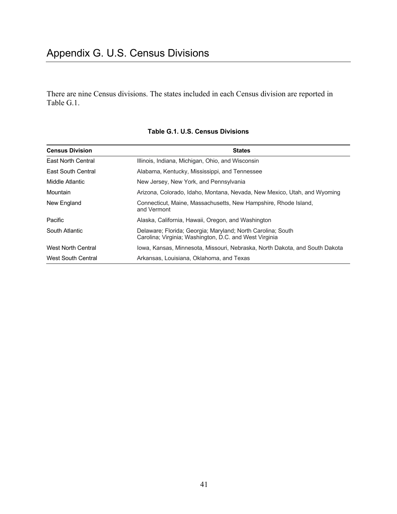There are nine Census divisions. The states included in each Census division are reported in Table G.1.

| <b>Census Division</b>    | <b>States</b>                                                                                                         |
|---------------------------|-----------------------------------------------------------------------------------------------------------------------|
| East North Central        | Illinois, Indiana, Michigan, Ohio, and Wisconsin                                                                      |
| East South Central        | Alabama, Kentucky, Mississippi, and Tennessee                                                                         |
| Middle Atlantic           | New Jersey, New York, and Pennsylvania                                                                                |
| Mountain                  | Arizona, Colorado, Idaho, Montana, Nevada, New Mexico, Utah, and Wyoming                                              |
| New England               | Connecticut, Maine, Massachusetts, New Hampshire, Rhode Island,<br>and Vermont                                        |
| Pacific                   | Alaska, California, Hawaii, Oregon, and Washington                                                                    |
| South Atlantic            | Delaware; Florida; Georgia; Maryland; North Carolina; South<br>Carolina; Virginia; Washington, D.C. and West Virginia |
| <b>West North Central</b> | Iowa, Kansas, Minnesota, Missouri, Nebraska, North Dakota, and South Dakota                                           |
| <b>West South Central</b> | Arkansas, Louisiana, Oklahoma, and Texas                                                                              |

#### **Table G.1. U.S. Census Divisions**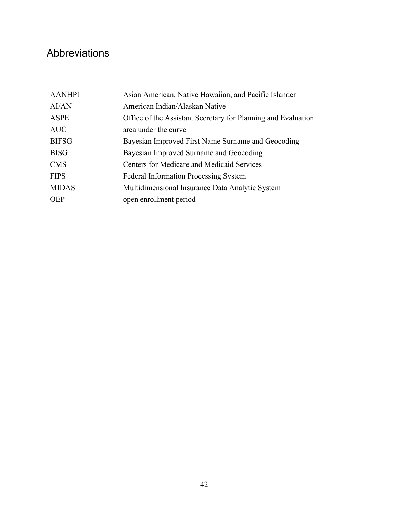# Abbreviations

| <b>AANHPI</b> | Asian American, Native Hawaiian, and Pacific Islander         |
|---------------|---------------------------------------------------------------|
| AI/AN         | American Indian/Alaskan Native                                |
| <b>ASPE</b>   | Office of the Assistant Secretary for Planning and Evaluation |
| <b>AUC</b>    | area under the curve                                          |
| <b>BIFSG</b>  | Bayesian Improved First Name Surname and Geocoding            |
| <b>BISG</b>   | Bayesian Improved Surname and Geocoding                       |
| <b>CMS</b>    | Centers for Medicare and Medicaid Services                    |
| <b>FIPS</b>   | <b>Federal Information Processing System</b>                  |
| <b>MIDAS</b>  | Multidimensional Insurance Data Analytic System               |
| <b>OEP</b>    | open enrollment period                                        |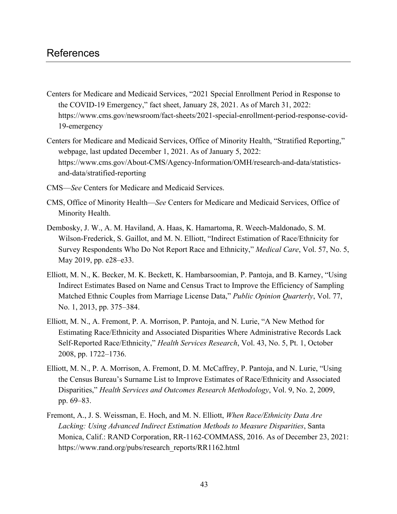# References

- Centers for Medicare and Medicaid Services, "2021 Special Enrollment Period in Response to the COVID-19 Emergency," fact sheet, January 28, 2021. As of March 31, 2022: [https://www.cms.gov/newsroom/fact-sheets/2021-special-enrollment-period-response-covid-](https://www.cms.gov/newsroom/fact-sheets/2021-special-enrollment-period-response-covid-19-emergency)[19-emergency](https://www.cms.gov/newsroom/fact-sheets/2021-special-enrollment-period-response-covid-19-emergency)
- Centers for Medicare and Medicaid Services, Office of Minority Health, "Stratified Reporting," webpage, last updated December 1, 2021. As of January 5, 2022: [https://www.cms.gov/About-CMS/Agency-Information/OMH/research-and-data/statistics](https://www.cms.gov/About-CMS/Agency-Information/OMH/research-and-data/statistics-and-data/stratified-reporting)[and-data/stratified-reporting](https://www.cms.gov/About-CMS/Agency-Information/OMH/research-and-data/statistics-and-data/stratified-reporting)
- CMS—*See* Centers for Medicare and Medicaid Services.
- CMS, Office of Minority Health—*See* Centers for Medicare and Medicaid Services, Office of Minority Health.
- Dembosky, J. W., A. M. Haviland, A. Haas, K. Hamartoma, R. Weech-Maldonado, S. M. Wilson-Frederick, S. Gaillot, and M. N. Elliott, "Indirect Estimation of Race/Ethnicity for Survey Respondents Who Do Not Report Race and Ethnicity," *Medical Care*, Vol. 57, No. 5, May 2019, pp. e28–e33.
- Elliott, M. N., K. Becker, M. K. Beckett, K. Hambarsoomian, P. Pantoja, and B. Karney, "Using Indirect Estimates Based on Name and Census Tract to Improve the Efficiency of Sampling Matched Ethnic Couples from Marriage License Data," *Public Opinion Quarterly*, Vol. 77, No. 1, 2013, pp. 375–384.
- Elliott, M. N., A. Fremont, P. A. Morrison, P. Pantoja, and N. Lurie, "A New Method for Estimating Race/Ethnicity and Associated Disparities Where Administrative Records Lack Self-Reported Race/Ethnicity," *Health Services Research*, Vol. 43, No. 5, Pt. 1, October 2008, pp. 1722–1736.
- Elliott, M. N., P. A. Morrison, A. Fremont, D. M. McCaffrey, P. Pantoja, and N. Lurie, "Using the Census Bureau's Surname List to Improve Estimates of Race/Ethnicity and Associated Disparities," *Health Services and Outcomes Research Methodology*, Vol. 9, No. 2, 2009, pp. 69–83.
- Fremont, A., J. S. Weissman, E. Hoch, and M. N. Elliott, *When Race/Ethnicity Data Are Lacking: Using Advanced Indirect Estimation Methods to Measure Disparities*, Santa Monica, Calif.: RAND Corporation, RR-1162-COMMASS, 2016. As of December 23, 2021: [https://www.rand.org/pubs/research\\_reports/RR1162.html](https://www.rand.org/pubs/research_reports/RR1162.html)